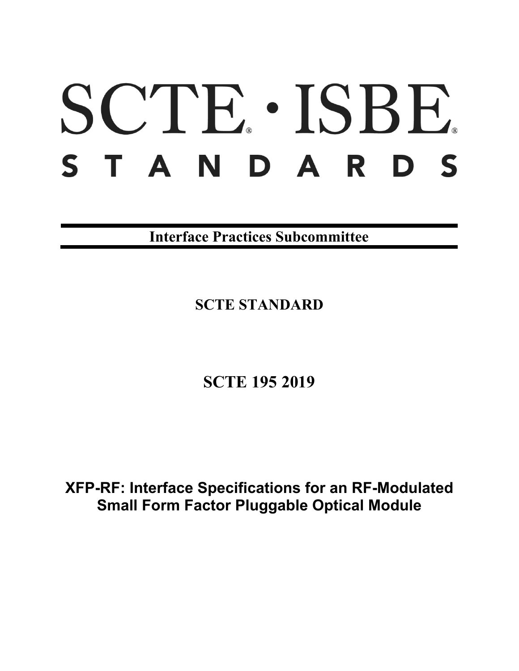# SCTE · ISBE. S T A N D A R D S

**Interface Practices Subcommittee**

**SCTE STANDARD**

**SCTE 195 2019**

**XFP-RF: Interface Specifications for an RF-Modulated Small Form Factor Pluggable Optical Module**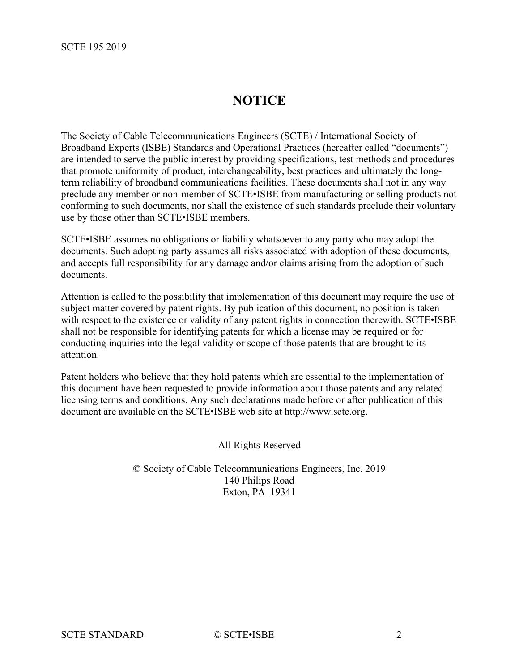# **NOTICE**

The Society of Cable Telecommunications Engineers (SCTE) / International Society of Broadband Experts (ISBE) Standards and Operational Practices (hereafter called "documents") are intended to serve the public interest by providing specifications, test methods and procedures that promote uniformity of product, interchangeability, best practices and ultimately the longterm reliability of broadband communications facilities. These documents shall not in any way preclude any member or non-member of SCTE•ISBE from manufacturing or selling products not conforming to such documents, nor shall the existence of such standards preclude their voluntary use by those other than SCTE•ISBE members.

SCTE•ISBE assumes no obligations or liability whatsoever to any party who may adopt the documents. Such adopting party assumes all risks associated with adoption of these documents, and accepts full responsibility for any damage and/or claims arising from the adoption of such documents.

Attention is called to the possibility that implementation of this document may require the use of subject matter covered by patent rights. By publication of this document, no position is taken with respect to the existence or validity of any patent rights in connection therewith. SCTE•ISBE shall not be responsible for identifying patents for which a license may be required or for conducting inquiries into the legal validity or scope of those patents that are brought to its attention.

Patent holders who believe that they hold patents which are essential to the implementation of this document have been requested to provide information about those patents and any related licensing terms and conditions. Any such declarations made before or after publication of this document are available on the SCTE•ISBE web site at http://www.scte.org.

All Rights Reserved

© Society of Cable Telecommunications Engineers, Inc. 2019 140 Philips Road Exton, PA 19341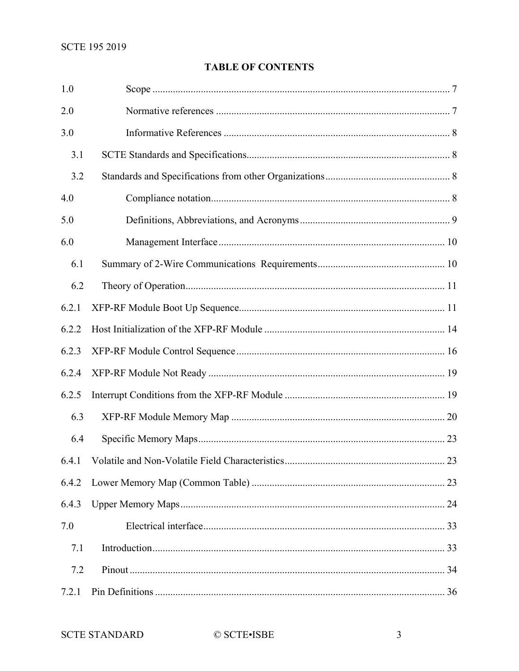## **TABLE OF CONTENTS**

| 1.0   |    |
|-------|----|
| 2.0   |    |
| 3.0   |    |
| 3.1   |    |
| 3.2   |    |
| 4.0   |    |
| 5.0   |    |
| 6.0   |    |
| 6.1   |    |
| 6.2   |    |
| 6.2.1 |    |
| 6.2.2 |    |
| 6.2.3 |    |
| 6.2.4 |    |
| 6.2.5 |    |
| 6.3   |    |
| 6.4   |    |
|       | 23 |
| 6.4.2 |    |
| 6.4.3 |    |
| 7.0   |    |
| 7.1   |    |
| 7.2   |    |
| 7.2.1 |    |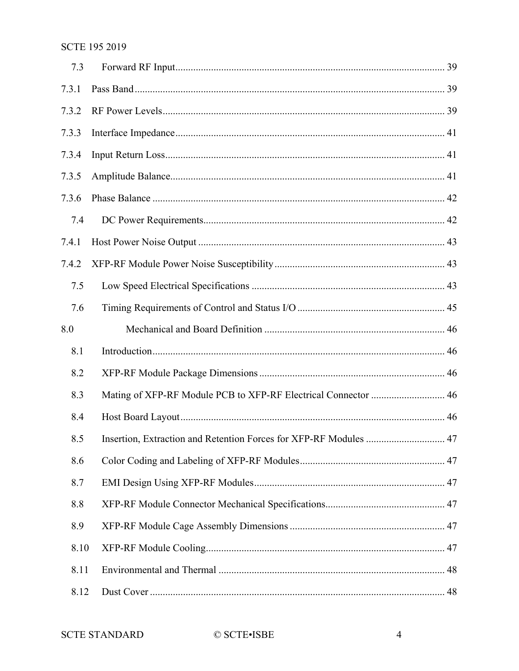| 7.3   |                                                                   |  |
|-------|-------------------------------------------------------------------|--|
| 7.3.1 |                                                                   |  |
| 7.3.2 |                                                                   |  |
| 7.3.3 |                                                                   |  |
| 7.3.4 |                                                                   |  |
| 7.3.5 |                                                                   |  |
| 7.3.6 |                                                                   |  |
| 7.4   |                                                                   |  |
| 7.4.1 |                                                                   |  |
| 7.4.2 |                                                                   |  |
| 7.5   |                                                                   |  |
| 7.6   |                                                                   |  |
| 8.0   |                                                                   |  |
| 8.1   |                                                                   |  |
| 8.2   |                                                                   |  |
| 8.3   | Mating of XFP-RF Module PCB to XFP-RF Electrical Connector  46    |  |
| 8.4   |                                                                   |  |
| 8.5   | Insertion, Extraction and Retention Forces for XFP-RF Modules  47 |  |
| 8.6   |                                                                   |  |
| 8.7   |                                                                   |  |
| 8.8   |                                                                   |  |
| 8.9   |                                                                   |  |
| 8.10  |                                                                   |  |
| 8.11  |                                                                   |  |
| 8.12  |                                                                   |  |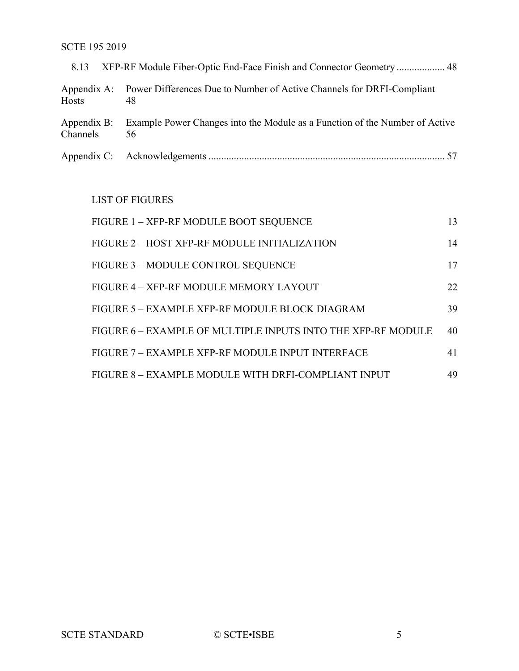| 8.13                    |                                                                                         |
|-------------------------|-----------------------------------------------------------------------------------------|
| Hosts                   | Appendix A: Power Differences Due to Number of Active Channels for DRFI-Compliant<br>48 |
| Appendix B:<br>Channels | Example Power Changes into the Module as a Function of the Number of Active<br>56       |
|                         |                                                                                         |

## LIST OF FIGURES

| FIGURE 1 - XFP-RF MODULE BOOT SEQUENCE                       | 13 |
|--------------------------------------------------------------|----|
| FIGURE 2 - HOST XFP-RF MODULE INITIALIZATION                 | 14 |
| FIGURE 3 - MODULE CONTROL SEQUENCE                           | 17 |
| FIGURE 4 - XFP-RF MODULE MEMORY LAYOUT                       | 22 |
| FIGURE 5 – EXAMPLE XFP-RF MODULE BLOCK DIAGRAM               | 39 |
| FIGURE 6 – EXAMPLE OF MULTIPLE INPUTS INTO THE XFP-RF MODULE | 40 |
| FIGURE 7 - EXAMPLE XFP-RF MODULE INPUT INTERFACE             | 41 |
| FIGURE 8 - EXAMPLE MODULE WITH DRFI-COMPLIANT INPUT          | 49 |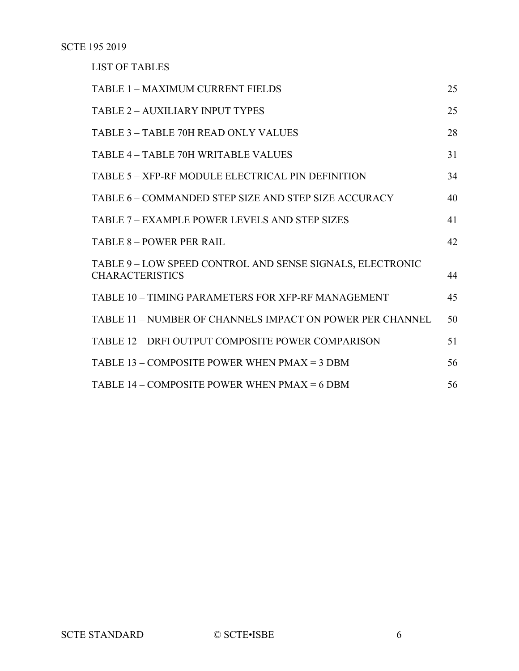LIST OF TABLES

| <b>TABLE 1 - MAXIMUM CURRENT FIELDS</b>                                             | 25 |
|-------------------------------------------------------------------------------------|----|
| <b>TABLE 2 - AUXILIARY INPUT TYPES</b>                                              | 25 |
| TABLE 3 - TABLE 70H READ ONLY VALUES                                                | 28 |
| TABLE 4 - TABLE 70H WRITABLE VALUES                                                 | 31 |
| TABLE 5 - XFP-RF MODULE ELECTRICAL PIN DEFINITION                                   | 34 |
| TABLE 6 – COMMANDED STEP SIZE AND STEP SIZE ACCURACY                                | 40 |
| TABLE 7 – EXAMPLE POWER LEVELS AND STEP SIZES                                       | 41 |
| <b>TABLE 8 - POWER PER RAIL</b>                                                     | 42 |
| TABLE 9 - LOW SPEED CONTROL AND SENSE SIGNALS, ELECTRONIC<br><b>CHARACTERISTICS</b> | 44 |
| TABLE 10 - TIMING PARAMETERS FOR XFP-RF MANAGEMENT                                  | 45 |
| TABLE 11 - NUMBER OF CHANNELS IMPACT ON POWER PER CHANNEL                           | 50 |
| TABLE 12 - DRFI OUTPUT COMPOSITE POWER COMPARISON                                   | 51 |
| TABLE 13 – COMPOSITE POWER WHEN $PMAX = 3$ DBM                                      | 56 |
| TABLE $14$ – COMPOSITE POWER WHEN PMAX = 6 DBM                                      | 56 |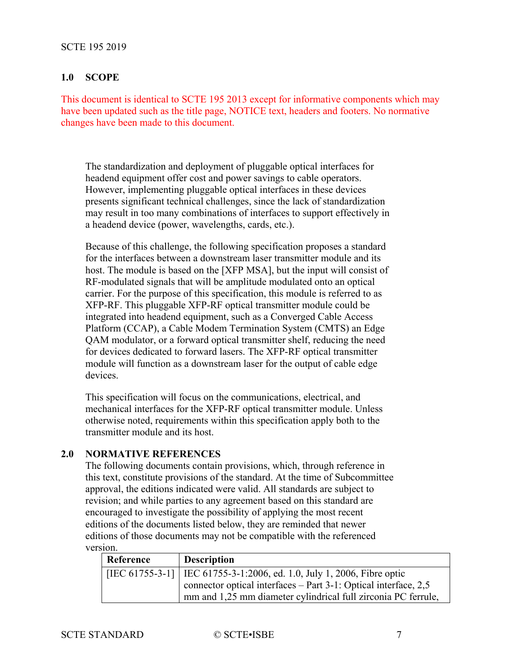#### <span id="page-6-0"></span>**1.0 SCOPE**

This document is identical to SCTE 195 2013 except for informative components which may have been updated such as the title page, NOTICE text, headers and footers. No normative changes have been made to this document.

The standardization and deployment of pluggable optical interfaces for headend equipment offer cost and power savings to cable operators. However, implementing pluggable optical interfaces in these devices presents significant technical challenges, since the lack of standardization may result in too many combinations of interfaces to support effectively in a headend device (power, wavelengths, cards, etc.).

Because of this challenge, the following specification proposes a standard for the interfaces between a downstream laser transmitter module and its host. The module is based on the [\[XFP MSA\],](#page-7-4) but the input will consist of RF-modulated signals that will be amplitude modulated onto an optical carrier. For the purpose of this specification, this module is referred to as XFP-RF. This pluggable XFP-RF optical transmitter module could be integrated into headend equipment, such as a Converged Cable Access Platform (CCAP), a Cable Modem Termination System (CMTS) an Edge QAM modulator, or a forward optical transmitter shelf, reducing the need for devices dedicated to forward lasers. The XFP-RF optical transmitter module will function as a downstream laser for the output of cable edge devices.

This specification will focus on the communications, electrical, and mechanical interfaces for the XFP-RF optical transmitter module. Unless otherwise noted, requirements within this specification apply both to the transmitter module and its host.

#### <span id="page-6-1"></span>**2.0 NORMATIVE REFERENCES**

The following documents contain provisions, which, through reference in this text, constitute provisions of the standard. At the time of Subcommittee approval, the editions indicated were valid. All standards are subject to revision; and while parties to any agreement based on this standard are encouraged to investigate the possibility of applying the most recent editions of the documents listed below, they are reminded that newer editions of those documents may not be compatible with the referenced version.

<span id="page-6-2"></span>

| Reference | <b>Description</b>                                                       |
|-----------|--------------------------------------------------------------------------|
|           | [IEC 61755-3-1]   IEC 61755-3-1:2006, ed. 1.0, July 1, 2006, Fibre optic |
|           | connector optical interfaces $-$ Part 3-1: Optical interface, 2,5        |
|           | mm and 1,25 mm diameter cylindrical full zirconia PC ferrule,            |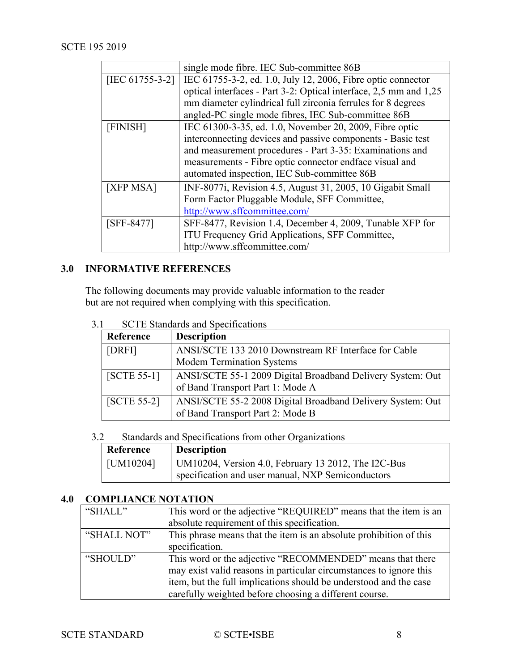<span id="page-7-11"></span><span id="page-7-10"></span>

|                    | single mode fibre. IEC Sub-committee 86B                          |
|--------------------|-------------------------------------------------------------------|
| [IEC $61755-3-2$ ] | IEC 61755-3-2, ed. 1.0, July 12, 2006, Fibre optic connector      |
|                    | optical interfaces - Part 3-2: Optical interface, 2,5 mm and 1,25 |
|                    | mm diameter cylindrical full zirconia ferrules for 8 degrees      |
|                    | angled-PC single mode fibres, IEC Sub-committee 86B               |
| [FINISH]           | IEC 61300-3-35, ed. 1.0, November 20, 2009, Fibre optic           |
|                    | interconnecting devices and passive components - Basic test       |
|                    | and measurement procedures - Part 3-35: Examinations and          |
|                    | measurements - Fibre optic connector endface visual and           |
|                    | automated inspection, IEC Sub-committee 86B                       |
| [XFP MSA]          | INF-8077i, Revision 4.5, August 31, 2005, 10 Gigabit Small        |
|                    | Form Factor Pluggable Module, SFF Committee,                      |
|                    | http://www.sffcommittee.com/                                      |
| $[SFF-8477]$       | SFF-8477, Revision 1.4, December 4, 2009, Tunable XFP for         |
|                    | ITU Frequency Grid Applications, SFF Committee,                   |
|                    | http://www.sffcommittee.com/                                      |

## <span id="page-7-6"></span><span id="page-7-4"></span><span id="page-7-0"></span>**3.0 INFORMATIVE REFERENCES**

The following documents may provide valuable information to the reader but are not required when complying with this specification.

<span id="page-7-9"></span><span id="page-7-7"></span>

| Reference     | <b>Description</b>                                         |
|---------------|------------------------------------------------------------|
| [DRFI]        | ANSI/SCTE 133 2010 Downstream RF Interface for Cable       |
|               | <b>Modem Termination Systems</b>                           |
| $[SCTE 55-1]$ | ANSI/SCTE 55-1 2009 Digital Broadband Delivery System: Out |
|               | of Band Transport Part 1: Mode A                           |
| $[SCTE 55-2]$ | ANSI/SCTE 55-2 2008 Digital Broadband Delivery System: Out |
|               | of Band Transport Part 2: Mode B                           |

<span id="page-7-1"></span>3.1 SCTE Standards and Specifications

## <span id="page-7-8"></span><span id="page-7-2"></span>3.2 Standards and Specifications from other Organizations

<span id="page-7-5"></span>

| Reference | <b>Description</b>                                                                                       |
|-----------|----------------------------------------------------------------------------------------------------------|
| [UM10204] | UM10204, Version 4.0, February 13 2012, The I2C-Bus<br>specification and user manual, NXP Semiconductors |

## <span id="page-7-3"></span>**4.0 COMPLIANCE NOTATION**

| "SHALL"     | This word or the adjective "REQUIRED" means that the item is an<br>absolute requirement of this specification.                                                                                                                                                 |
|-------------|----------------------------------------------------------------------------------------------------------------------------------------------------------------------------------------------------------------------------------------------------------------|
| "SHALL NOT" | This phrase means that the item is an absolute prohibition of this<br>specification.                                                                                                                                                                           |
| "SHOULD"    | This word or the adjective "RECOMMENDED" means that there<br>may exist valid reasons in particular circumstances to ignore this<br>item, but the full implications should be understood and the case<br>carefully weighted before choosing a different course. |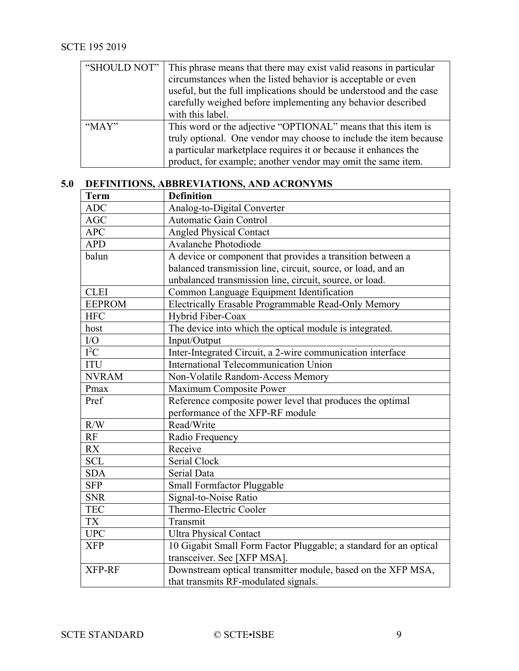<span id="page-8-1"></span>

| "SHOULD NOT" | This phrase means that there may exist valid reasons in particular  |
|--------------|---------------------------------------------------------------------|
|              | circumstances when the listed behavior is acceptable or even        |
|              | useful, but the full implications should be understood and the case |
|              | carefully weighed before implementing any behavior described        |
|              | with this label.                                                    |
| " $MAX"$     | This word or the adjective "OPTIONAL" means that this item is       |
|              | truly optional. One vendor may choose to include the item because   |
|              | a particular marketplace requires it or because it enhances the     |
|              | product, for example; another vendor may omit the same item.        |

# <span id="page-8-0"></span>**5.0 DEFINITIONS, ABBREVIATIONS, AND ACRONYMS**

| <b>Term</b>   | <b>Definition</b>                                                 |
|---------------|-------------------------------------------------------------------|
| <b>ADC</b>    | Analog-to-Digital Converter                                       |
| <b>AGC</b>    | <b>Automatic Gain Control</b>                                     |
| <b>APC</b>    | <b>Angled Physical Contact</b>                                    |
| <b>APD</b>    | Avalanche Photodiode                                              |
| balun         | A device or component that provides a transition between a        |
|               | balanced transmission line, circuit, source, or load, and an      |
|               | unbalanced transmission line, circuit, source, or load.           |
| <b>CLEI</b>   | Common Language Equipment Identification                          |
| <b>EEPROM</b> | Electrically Erasable Programmable Read-Only Memory               |
| <b>HFC</b>    | Hybrid Fiber-Coax                                                 |
| host          | The device into which the optical module is integrated.           |
| $\rm LO$      | Input/Output                                                      |
| $I^2C$        | Inter-Integrated Circuit, a 2-wire communication interface        |
| <b>ITU</b>    | <b>International Telecommunication Union</b>                      |
| <b>NVRAM</b>  | Non-Volatile Random-Access Memory                                 |
| Pmax          | Maximum Composite Power                                           |
| Pref          | Reference composite power level that produces the optimal         |
|               | performance of the XFP-RF module                                  |
| R/W           | Read/Write                                                        |
| RF            | Radio Frequency                                                   |
| <b>RX</b>     | Receive                                                           |
| <b>SCL</b>    | Serial Clock                                                      |
| <b>SDA</b>    | Serial Data                                                       |
| <b>SFP</b>    | Small Formfactor Pluggable                                        |
| <b>SNR</b>    | Signal-to-Noise Ratio                                             |
| <b>TEC</b>    | Thermo-Electric Cooler                                            |
| <b>TX</b>     | Transmit                                                          |
| <b>UPC</b>    | <b>Ultra Physical Contact</b>                                     |
| <b>XFP</b>    | 10 Gigabit Small Form Factor Pluggable; a standard for an optical |
|               | transceiver. See [XFP MSA].                                       |
| XFP-RF        | Downstream optical transmitter module, based on the XFP MSA,      |
|               | that transmits RF-modulated signals.                              |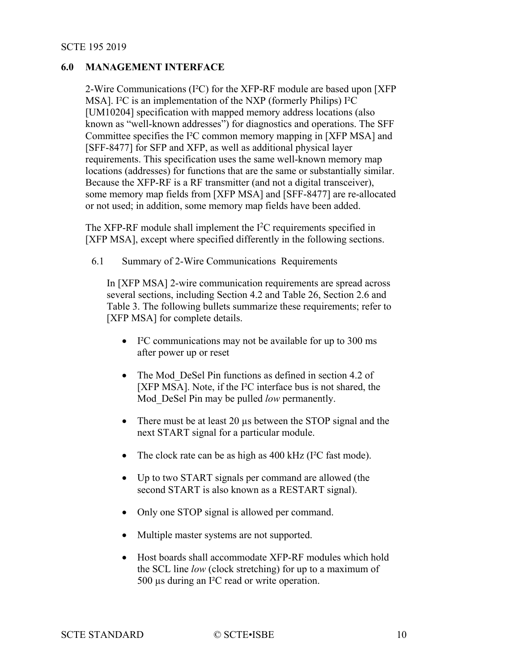## **6.0 MANAGEMENT INTERFACE**

2-Wire Communications (I²C) for the XFP-RF module are based upon [\[XFP](#page-7-4)  [MSA\].](#page-7-4) I²C is an implementation of the NXP (formerly Philips) I²C [\[UM10204\]](#page-7-5) specification with mapped memory address locations (also known as "well-known addresses") for diagnostics and operations. The SFF Committee specifies the I²C common memory mapping in [\[XFP MSA\]](#page-7-4) and [\[SFF-8477\]](#page-7-6) for SFP and XFP, as well as additional physical layer requirements. This specification uses the same well-known memory map locations (addresses) for functions that are the same or substantially similar. Because the XFP-RF is a RF transmitter (and not a digital transceiver), some memory map fields from [\[XFP MSA\]](#page-7-4) and [\[SFF-8477\]](#page-7-6) are re-allocated or not used; in addition, some memory map fields have been added.

The XFP-RF module shall implement the  $I<sup>2</sup>C$  requirements specified in [\[XFP MSA\],](#page-7-4) except where specified differently in the following sections.

<span id="page-9-0"></span>6.1 Summary of 2-Wire Communications Requirements

In [\[XFP MSA\]](#page-7-4) 2-wire communication requirements are spread across several sections, including Section 4.2 and Table 26, Section 2.6 and Table 3. The following bullets summarize these requirements; refer to [\[XFP MSA\]](#page-7-4) for complete details.

- I²C communications may not be available for up to 300 ms after power up or reset
- The Mod DeSel Pin functions as defined in section 4.2 of [\[XFP MSA\].](#page-7-4) Note, if the I²C interface bus is not shared, the Mod\_DeSel Pin may be pulled *low* permanently.
- There must be at least 20 µs between the STOP signal and the next START signal for a particular module.
- The clock rate can be as high as 400 kHz (I<sup>2</sup>C fast mode).
- Up to two START signals per command are allowed (the second START is also known as a RESTART signal).
- Only one STOP signal is allowed per command.
- Multiple master systems are not supported.
- Host boards shall accommodate XFP-RF modules which hold the SCL line *low* (clock stretching) for up to a maximum of 500 µs during an I²C read or write operation.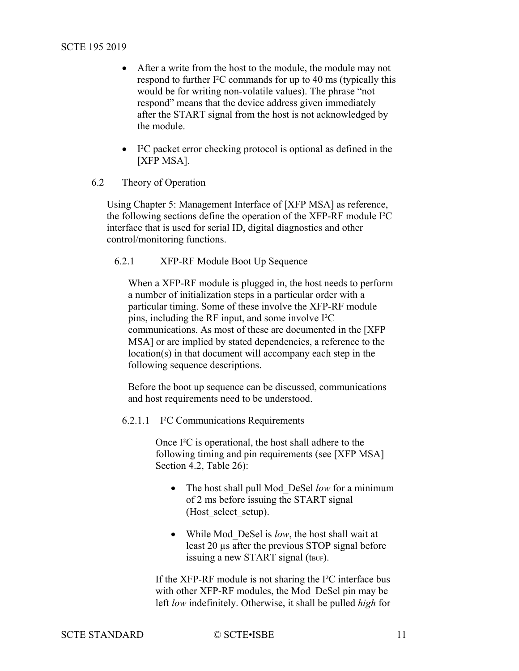- After a write from the host to the module, the module may not respond to further I²C commands for up to 40 ms (typically this would be for writing non-volatile values). The phrase "not respond" means that the device address given immediately after the START signal from the host is not acknowledged by the module.
- I<sup>2</sup>C packet error checking protocol is optional as defined in the [\[XFP MSA\].](#page-7-4)
- <span id="page-10-0"></span>6.2 Theory of Operation

Using Chapter 5: Management Interface of [\[XFP MSA\]](#page-7-4) as reference, the following sections define the operation of the XFP-RF module I²C interface that is used for serial ID, digital diagnostics and other control/monitoring functions.

## <span id="page-10-1"></span>6.2.1 XFP-RF Module Boot Up Sequence

When a XFP-RF module is plugged in, the host needs to perform a number of initialization steps in a particular order with a particular timing. Some of these involve the XFP-RF module pins, including the RF input, and some involve I²C communications. As most of these are documented in the [\[XFP](#page-7-4)  [MSA\]](#page-7-4) or are implied by stated dependencies, a reference to the location(s) in that document will accompany each step in the following sequence descriptions.

Before the boot up sequence can be discussed, communications and host requirements need to be understood.

6.2.1.1 I²C Communications Requirements

Once I²C is operational, the host shall adhere to the following timing and pin requirements (see [\[XFP MSA\]](#page-7-4) Section 4.2, Table 26):

- The host shall pull Mod\_DeSel *low* for a minimum of 2 ms before issuing the START signal (Host select setup).
- While Mod\_DeSel is *low*, the host shall wait at least 20 µs after the previous STOP signal before issuing a new START signal (tBUF).

If the XFP-RF module is not sharing the I²C interface bus with other XFP-RF modules, the Mod\_DeSel pin may be left *low* indefinitely. Otherwise, it shall be pulled *high* for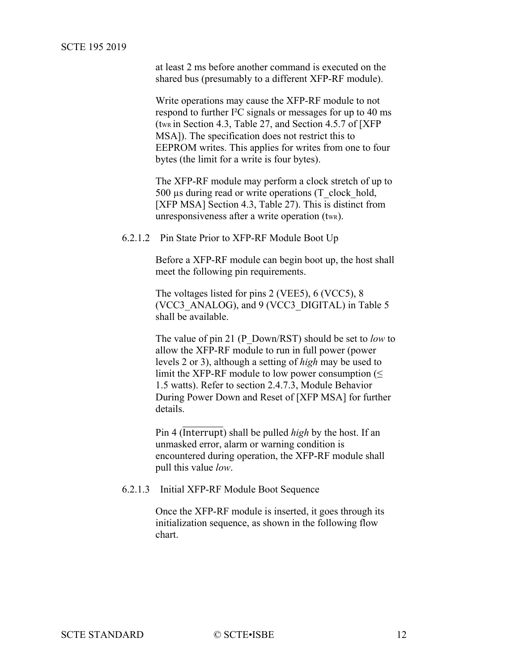at least 2 ms before another command is executed on the shared bus (presumably to a different XFP-RF module).

Write operations may cause the XFP-RF module to not respond to further I²C signals or messages for up to 40 ms (twk in Section 4.3, Table 27, and Section 4.5.7 of [XFP] [MSA\]\)](#page-7-4). The specification does not restrict this to EEPROM writes. This applies for writes from one to four bytes (the limit for a write is four bytes).

The XFP-RF module may perform a clock stretch of up to 500 µs during read or write operations (T\_clock\_hold, [\[XFP MSA\]](#page-7-4) Section 4.3, Table 27). This is distinct from unresponsiveness after a write operation (twn).

6.2.1.2 Pin State Prior to XFP-RF Module Boot Up

Before a XFP-RF module can begin boot up, the host shall meet the following pin requirements.

The voltages listed for pins 2 (VEE5), 6 (VCC5), 8 (VCC3\_ANALOG), and 9 (VCC3\_DIGITAL) in [Table](#page-33-0) 5 shall be available.

The value of pin 21 (P\_Down/RST) should be set to *low* to allow the XFP-RF module to run in full power (power levels 2 or 3), although a setting of *high* may be used to limit the XFP-RF module to low power consumption (≤ 1.5 watts). Refer to section 2.4.7.3, Module Behavior During Power Down and Reset of [\[XFP MSA\]](#page-7-4) for further details.

Pin 4 (Interrupt) shall be pulled *high* by the host. If an unmasked error, alarm or warning condition is encountered during operation, the XFP-RF module shall pull this value *low*.

6.2.1.3 Initial XFP-RF Module Boot Sequence

Once the XFP-RF module is inserted, it goes through its initialization sequence, as shown in the following flow chart.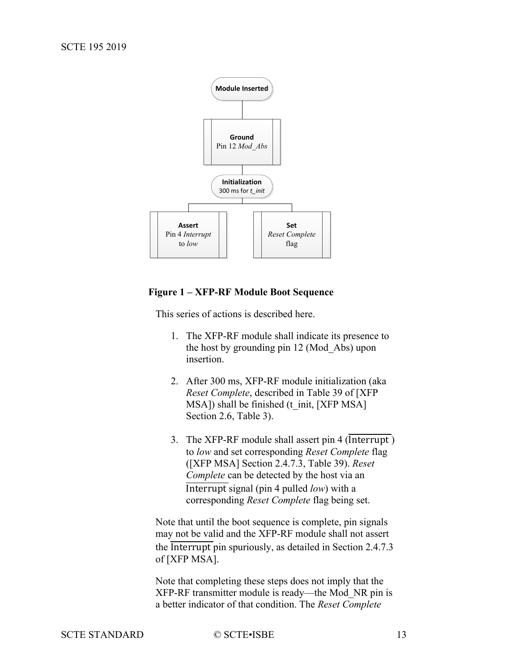

#### <span id="page-12-0"></span>**Figure 1 – XFP-RF Module Boot Sequence**

This series of actions is described here.

- 1. The XFP-RF module shall indicate its presence to the host by grounding pin 12 (Mod\_Abs) upon insertion.
- 2. After 300 ms, XFP-RF module initialization (aka *Reset Complete*, described in Table 39 of [\[XFP](#page-7-4)  [MSA\]\)](#page-7-4) shall be finished (t\_init, [\[XFP MSA\]](#page-7-4) Section 2.6, Table 3).
- 3. The XFP-RF module shall assert pin  $4$  (Interrupt) to *low* and set corresponding *Reset Complete* flag [\(\[XFP MSA\]](#page-7-4) Section 2.4.7.3, Table 39). *Reset Complete* can be detected by the host via an Interrupt signal (pin 4 pulled *low*) with a corresponding *Reset Complete* flag being set.

Note that until the boot sequence is complete, pin signals may not be valid and the XFP-RF module shall not assert the Interrupt pin spuriously, as detailed in Section 2.4.7.3 of [\[XFP MSA\].](#page-7-4)

Note that completing these steps does not imply that the XFP-RF transmitter module is ready—the Mod\_NR pin is a better indicator of that condition. The *Reset Complete*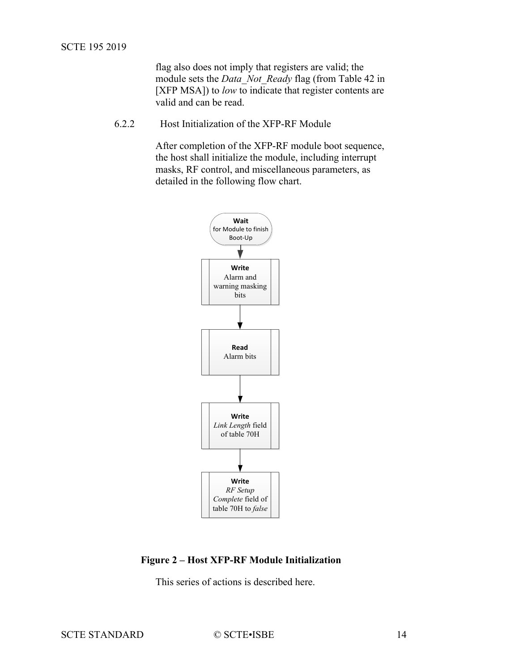flag also does not imply that registers are valid; the module sets the *Data\_Not\_Ready* flag (from Table 42 in [\[XFP MSA\]\)](#page-7-4) to *low* to indicate that register contents are valid and can be read.

<span id="page-13-0"></span>6.2.2 Host Initialization of the XFP-RF Module

After completion of the XFP-RF module boot sequence, the host shall initialize the module, including interrupt masks, RF control, and miscellaneous parameters, as detailed in the following flow chart.



<span id="page-13-1"></span>**Figure 2 – Host XFP-RF Module Initialization**

This series of actions is described here.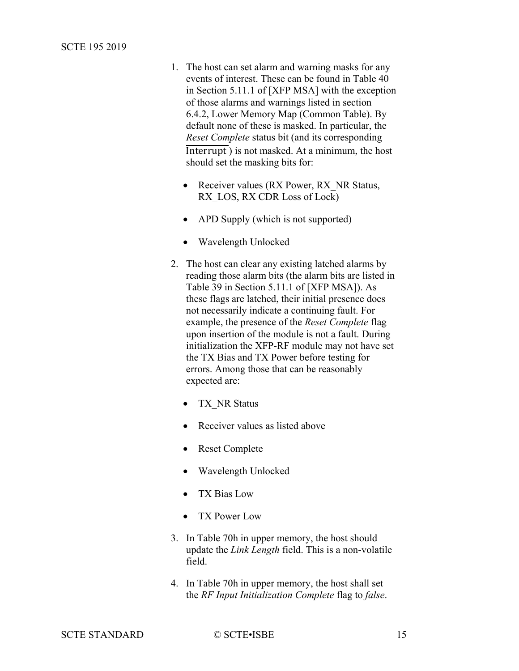- 1. The host can set alarm and warning masks for any events of interest. These can be found in Table 40 in Section 5.11.1 of [\[XFP MSA\]](#page-7-4) with the exception of those alarms and warnings listed in section [6.4.2,](#page-22-1) Lower Memory [Map \(Common Table\).](#page-22-1) By default none of these is masked. In particular, the *Reset Complete* status bit (and its corresponding Interrupt ) is not masked. At a minimum, the host should set the masking bits for:
	- Receiver values (RX Power, RX NR Status, RX LOS, RX CDR Loss of Lock)
	- APD Supply (which is not supported)
	- Wavelength Unlocked
- 2. The host can clear any existing latched alarms by reading those alarm bits (the alarm bits are listed in Table 39 in Section 5.11.1 of [\[XFP MSA\]\)](#page-7-4). As these flags are latched, their initial presence does not necessarily indicate a continuing fault. For example, the presence of the *Reset Complete* flag upon insertion of the module is not a fault. During initialization the XFP-RF module may not have set the TX Bias and TX Power before testing for errors. Among those that can be reasonably expected are:
	- TX NR Status
	- Receiver values as listed above
	- Reset Complete
	- Wavelength Unlocked
	- TX Bias Low
	- TX Power Low
- 3. In Table 70h in upper memory, the host should update the *Link Length* field. This is a non-volatile field.
- 4. In Table 70h in upper memory, the host shall set the *RF Input Initialization Complete* flag to *false*.

SCTE STANDARD © SCTE•ISBE 15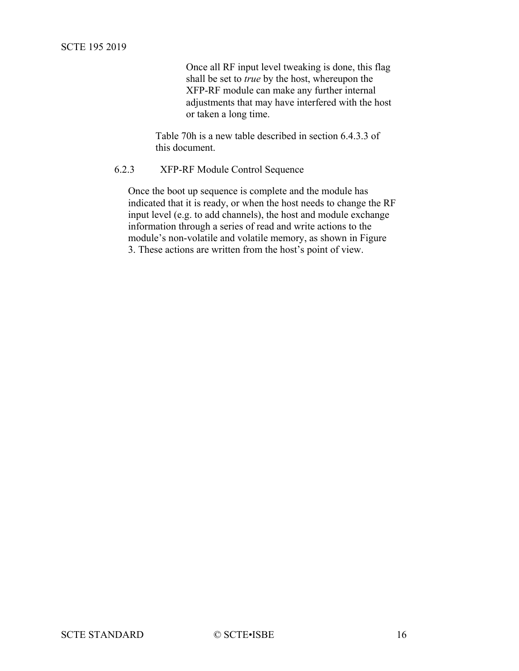Once all RF input level tweaking is done, this flag shall be set to *true* by the host, whereupon the XFP-RF module can make any further internal adjustments that may have interfered with the host or taken a long time.

Table 70h is a new table described in section [6.4.3.3](#page-25-0) of this document.

## <span id="page-15-0"></span>6.2.3 XFP-RF Module Control Sequence

Once the boot up sequence is complete and the module has indicated that it is ready, or when the host needs to change the RF input level (e.g. to add channels), the host and module exchange information through a series of read and write actions to the module's non-volatile and volatile memory, as shown in [Figure](#page-16-0)  [3.](#page-16-0) These actions are written from the host's point of view.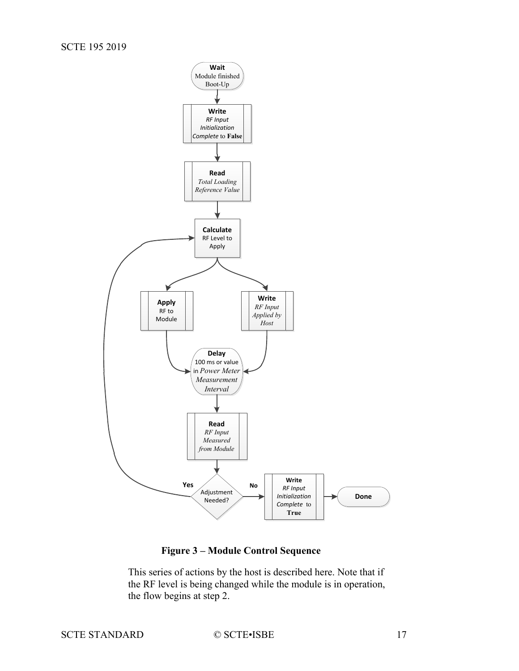

**Figure 3 – Module Control Sequence**

<span id="page-16-0"></span>This series of actions by the host is described here. Note that if the RF level is being changed while the module is in operation, the flow begins at step 2.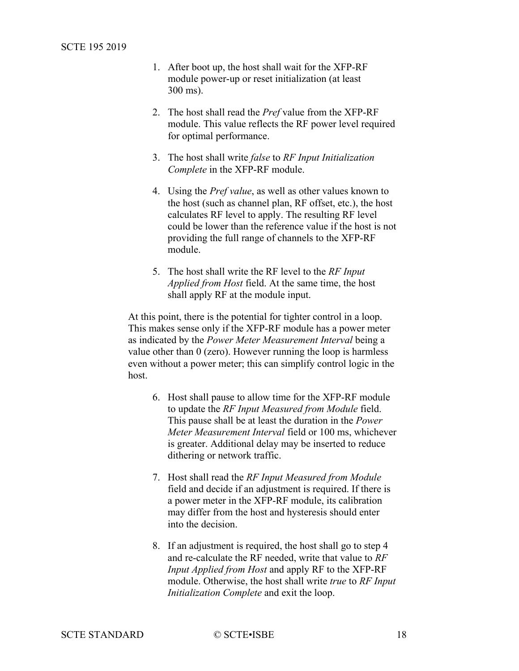- 1. After boot up, the host shall wait for the XFP-RF module power-up or reset initialization (at least 300 ms).
- 2. The host shall read the *Pref* value from the XFP-RF module. This value reflects the RF power level required for optimal performance.
- 3. The host shall write *false* to *RF Input Initialization Complete* in the XFP-RF module.
- 4. Using the *Pref value*, as well as other values known to the host (such as channel plan, RF offset, etc.), the host calculates RF level to apply. The resulting RF level could be lower than the reference value if the host is not providing the full range of channels to the XFP-RF module.
- 5. The host shall write the RF level to the *RF Input Applied from Host* field. At the same time, the host shall apply RF at the module input.

At this point, there is the potential for tighter control in a loop. This makes sense only if the XFP-RF module has a power meter as indicated by the *Power Meter Measurement Interval* being a value other than 0 (zero). However running the loop is harmless even without a power meter; this can simplify control logic in the host.

- 6. Host shall pause to allow time for the XFP-RF module to update the *RF Input Measured from Module* field. This pause shall be at least the duration in the *Power Meter Measurement Interval* field or 100 ms, whichever is greater. Additional delay may be inserted to reduce dithering or network traffic.
- 7. Host shall read the *RF Input Measured from Module* field and decide if an adjustment is required. If there is a power meter in the XFP-RF module, its calibration may differ from the host and hysteresis should enter into the decision.
- 8. If an adjustment is required, the host shall go to step 4 and re-calculate the RF needed, write that value to *RF Input Applied from Host* and apply RF to the XFP-RF module. Otherwise, the host shall write *true* to *RF Input Initialization Complete* and exit the loop.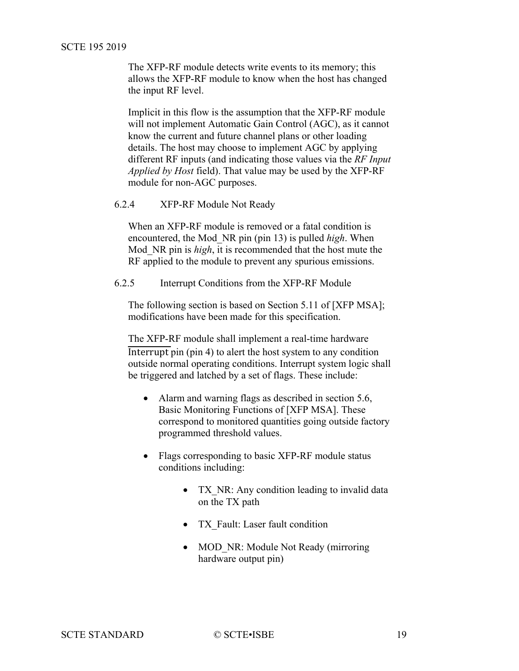The XFP-RF module detects write events to its memory; this allows the XFP-RF module to know when the host has changed the input RF level.

Implicit in this flow is the assumption that the XFP-RF module will not implement Automatic Gain Control (AGC), as it cannot know the current and future channel plans or other loading details. The host may choose to implement AGC by applying different RF inputs (and indicating those values via the *RF Input Applied by Host* field). That value may be used by the XFP-RF module for non-AGC purposes.

#### <span id="page-18-0"></span>6.2.4 XFP-RF Module Not Ready

When an XFP-RF module is removed or a fatal condition is encountered, the Mod\_NR pin (pin 13) is pulled *high*. When Mod\_NR pin is *high*, it is recommended that the host mute the RF applied to the module to prevent any spurious emissions.

<span id="page-18-1"></span>6.2.5 Interrupt Conditions from the XFP-RF Module

The following section is based on Section 5.11 of [\[XFP MSA\];](#page-7-4) modifications have been made for this specification.

The XFP-RF module shall implement a real-time hardware Interrupt pin (pin 4) to alert the host system to any condition outside normal operating conditions. Interrupt system logic shall be triggered and latched by a set of flags. These include:

- Alarm and warning flags as described in section 5.6, Basic Monitoring Functions of [\[XFP MSA\].](#page-7-4) These correspond to monitored quantities going outside factory programmed threshold values.
- Flags corresponding to basic XFP-RF module status conditions including:
	- TX NR: Any condition leading to invalid data on the TX path
	- TX Fault: Laser fault condition
	- MOD NR: Module Not Ready (mirroring hardware output pin)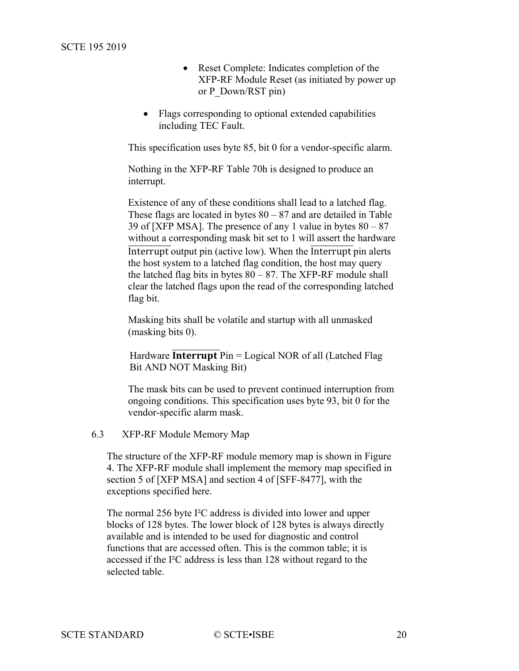- Reset Complete: Indicates completion of the XFP-RF Module Reset (as initiated by power up or P\_Down/RST pin)
- Flags corresponding to optional extended capabilities including TEC Fault.

This specification uses byte 85, bit 0 for a vendor-specific alarm.

Nothing in the XFP-RF Table 70h is designed to produce an interrupt.

Existence of any of these conditions shall lead to a latched flag. These flags are located in bytes  $80 - 87$  and are detailed in Table 39 of [\[XFP MSA\].](#page-7-4) The presence of any 1 value in bytes  $80 - 87$ without a corresponding mask bit set to 1 will assert the hardware Interrupt output pin (active low). When the Interrupt pin alerts the host system to a latched flag condition, the host may query the latched flag bits in bytes  $80 - 87$ . The XFP-RF module shall clear the latched flags upon the read of the corresponding latched flag bit.

Masking bits shall be volatile and startup with all unmasked (masking bits 0).

Hardware **Interrupt**  $Pin = Logical NOR$  of all (Latched Flag Bit AND NOT Masking Bit)

The mask bits can be used to prevent continued interruption from ongoing conditions. This specification uses byte 93, bit 0 for the vendor-specific alarm mask.

#### <span id="page-19-0"></span>6.3 XFP-RF Module Memory Map

The structure of the XFP-RF module memory map is shown in [Figure](#page-21-1)  [4.](#page-21-1) The XFP-RF module shall implement the memory map specified in section 5 of [\[XFP MSA\]](#page-7-4) and section 4 of [\[SFF-8477\],](#page-7-6) with the exceptions specified here.

The normal 256 byte I²C address is divided into lower and upper blocks of 128 bytes. The lower block of 128 bytes is always directly available and is intended to be used for diagnostic and control functions that are accessed often. This is the common table; it is accessed if the I²C address is less than 128 without regard to the selected table.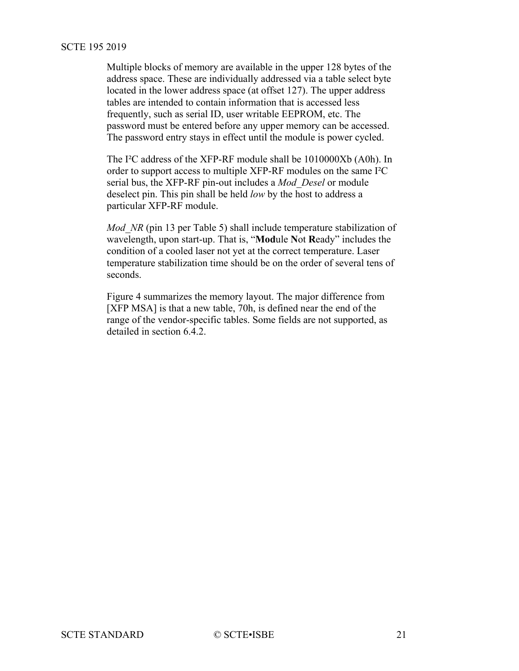Multiple blocks of memory are available in the upper 128 bytes of the address space. These are individually addressed via a table select byte located in the lower address space (at offset 127). The upper address tables are intended to contain information that is accessed less frequently, such as serial ID, user writable EEPROM, etc. The password must be entered before any upper memory can be accessed. The password entry stays in effect until the module is power cycled.

The I²C address of the XFP-RF module shall be 1010000Xb (A0h). In order to support access to multiple XFP-RF modules on the same I²C serial bus, the XFP-RF pin-out includes a *Mod\_Desel* or module deselect pin. This pin shall be held *low* by the host to address a particular XFP-RF module.

*Mod NR* (pin 13 per [Table](#page-33-0) 5) shall include temperature stabilization of wavelength, upon start-up. That is, "**Mod**ule **N**ot **R**eady" includes the condition of a cooled laser not yet at the correct temperature. Laser temperature stabilization time should be on the order of several tens of seconds.

[Figure 4](#page-21-1) summarizes the memory layout. The major difference from [\[XFP MSA\]](#page-7-4) is that a new table, 70h, is defined near the end of the range of the vendor-specific tables. Some fields are not supported, as detailed in section [6.4.2.](#page-22-1)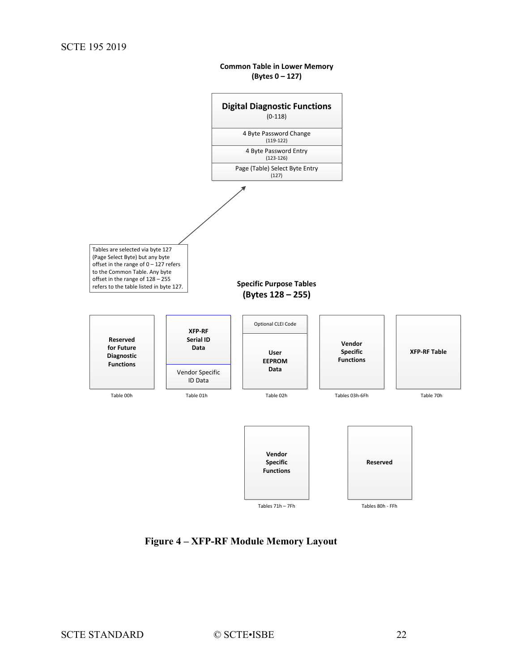**Common Table in Lower Memory (Bytes 0 – 127)**

<span id="page-21-0"></span>

<span id="page-21-1"></span>**Figure 4 – XFP-RF Module Memory Layout**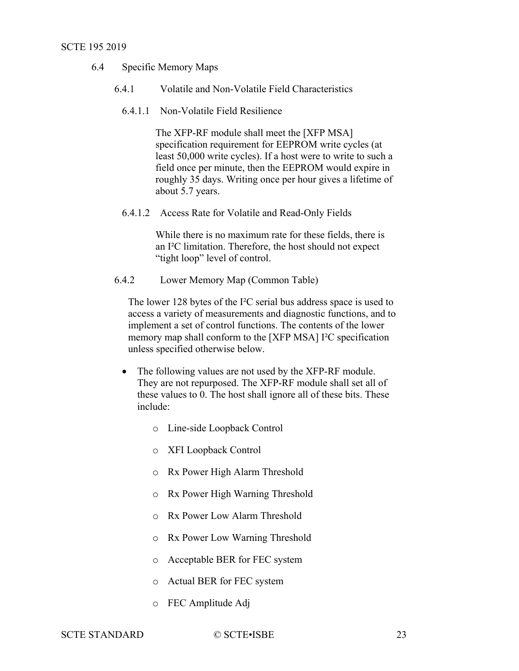- <span id="page-22-0"></span>6.4 Specific Memory Maps
	- 6.4.1 Volatile and Non-Volatile Field Characteristics

#### 6.4.1.1 Non-Volatile Field Resilience

The XFP-RF module shall meet the [\[XFP MSA\]](#page-7-4) specification requirement for EEPROM write cycles (at least 50,000 write cycles). If a host were to write to such a field once per minute, then the EEPROM would expire in roughly 35 days. Writing once per hour gives a lifetime of about 5.7 years.

6.4.1.2 Access Rate for Volatile and Read-Only Fields

While there is no maximum rate for these fields, there is an I²C limitation. Therefore, the host should not expect "tight loop" level of control.

<span id="page-22-1"></span>6.4.2 Lower Memory Map (Common Table)

The lower 128 bytes of the I²C serial bus address space is used to access a variety of measurements and diagnostic functions, and to implement a set of control functions. The contents of the lower memory map shall conform to the [\[XFP MSA\]](#page-7-4) I²C specification unless specified otherwise below.

- The following values are not used by the XFP-RF module. They are not repurposed. The XFP-RF module shall set all of these values to 0. The host shall ignore all of these bits. These include:
	- o Line-side Loopback Control
	- o XFI Loopback Control
	- o Rx Power High Alarm Threshold
	- o Rx Power High Warning Threshold
	- o Rx Power Low Alarm Threshold
	- o Rx Power Low Warning Threshold
	- o Acceptable BER for FEC system
	- o Actual BER for FEC system
	- o FEC Amplitude Adj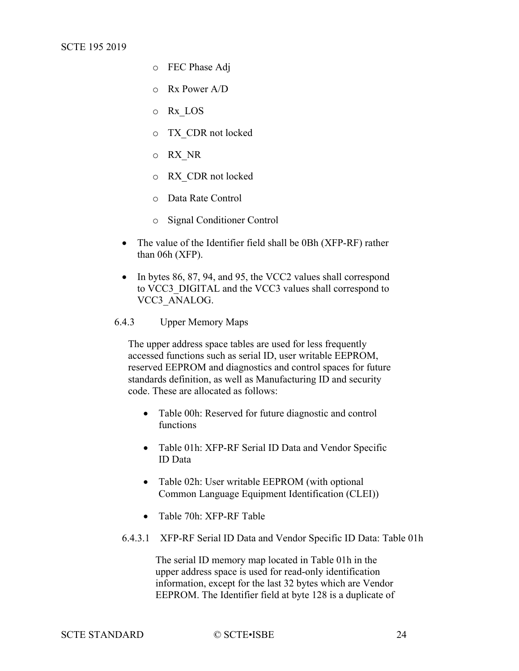- o FEC Phase Adj
- o Rx Power A/D
- o Rx\_LOS
- o TX\_CDR not locked
- o RX\_NR
- o RX\_CDR not locked
- o Data Rate Control
- o Signal Conditioner Control
- The value of the Identifier field shall be 0Bh (XFP-RF) rather than 06h (XFP).
- In bytes 86, 87, 94, and 95, the VCC2 values shall correspond to VCC3\_DIGITAL and the VCC3 values shall correspond to VCC3\_ANALOG.
- <span id="page-23-0"></span>6.4.3 Upper Memory Maps

The upper address space tables are used for less frequently accessed functions such as serial ID, user writable EEPROM, reserved EEPROM and diagnostics and control spaces for future standards definition, as well as Manufacturing ID and security code. These are allocated as follows:

- Table 00h: Reserved for future diagnostic and control functions
- Table 01h: XFP-RF Serial ID Data and Vendor Specific ID Data
- Table 02h: User writable EEPROM (with optional Common Language Equipment Identification (CLEI))
- Table 70h: XFP-RF Table
- 6.4.3.1 XFP-RF Serial ID Data and Vendor Specific ID Data: Table 01h

The serial ID memory map located in Table 01h in the upper address space is used for read-only identification information, except for the last 32 bytes which are Vendor EEPROM. The Identifier field at byte 128 is a duplicate of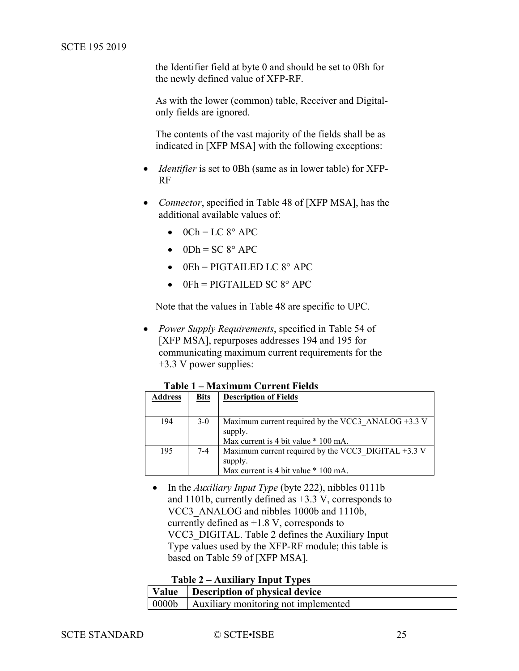the Identifier field at byte 0 and should be set to 0Bh for the newly defined value of XFP-RF.

As with the lower (common) table, Receiver and Digitalonly fields are ignored.

The contents of the vast majority of the fields shall be as indicated in [\[XFP MSA\]](#page-7-4) with the following exceptions:

- *Identifier* is set to 0Bh (same as in lower table) for XFP-RF
- *Connector*, specified in Table 48 of [\[XFP MSA\],](#page-7-4) has the additional available values of:
	- $\bullet$  0Ch = LC 8° APC
	- $\bullet$  0Dh = SC 8° APC
	- $\bullet$  0Eh = PIGTAILED LC  $8^\circ$  APC
	- $0Fh = PIGTAILED SC 8° APC$

Note that the values in Table 48 are specific to UPC.

• *Power Supply Requirements*, specified in Table 54 of [\[XFP MSA\],](#page-7-4) repurposes addresses 194 and 195 for communicating maximum current requirements for the +3.3 V power supplies:

**Table 1 – Maximum Current Fields**

<span id="page-24-0"></span>

| <b>Address</b> | <b>Bits</b> | <b>Description of Fields</b>                                                                             |
|----------------|-------------|----------------------------------------------------------------------------------------------------------|
| 194            | $3-0$       | Maximum current required by the VCC3 ANALOG +3.3 V<br>supply.<br>Max current is 4 bit value * 100 mA.    |
| 195            | 7-4         | Maximum current required by the VCC3 DIGITAL $+3.3$ V<br>supply.<br>Max current is 4 bit value * 100 mA. |

• In the *Auxiliary Input Type* (byte 222), nibbles 0111b and 1101b, currently defined as +3.3 V, corresponds to VCC3\_ANALOG and nibbles 1000b and 1110b, currently defined as +1.8 V, corresponds to VCC3\_DIGITAL. [Table 2](#page-24-1) defines the Auxiliary Input Type values used by the XFP-RF module; this table is based on Table 59 of [\[XFP MSA\].](#page-7-4)

| <b>Table 2 – Auxiliary Input Types</b> |  |
|----------------------------------------|--|
|----------------------------------------|--|

<span id="page-24-1"></span>

| Value   Description of physical device       |
|----------------------------------------------|
| 0000b   Auxiliary monitoring not implemented |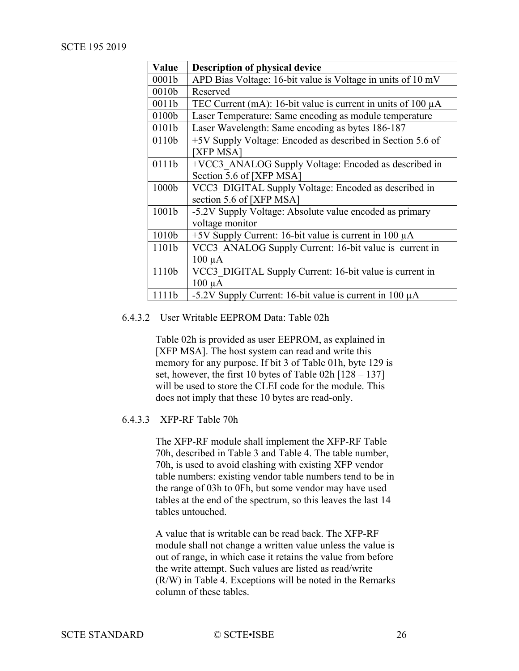| Value | <b>Description of physical device</b>                             |
|-------|-------------------------------------------------------------------|
| 0001b | APD Bias Voltage: 16-bit value is Voltage in units of 10 mV       |
| 0010b | Reserved                                                          |
| 0011b | TEC Current (mA): 16-bit value is current in units of 100 $\mu$ A |
| 0100b | Laser Temperature: Same encoding as module temperature            |
| 0101b | Laser Wavelength: Same encoding as bytes 186-187                  |
| 0110b | +5V Supply Voltage: Encoded as described in Section 5.6 of        |
|       | <b>XFP MSA</b>                                                    |
| 0111b | +VCC3 ANALOG Supply Voltage: Encoded as described in              |
|       | Section 5.6 of [XFP MSA]                                          |
| 1000b | VCC3 DIGITAL Supply Voltage: Encoded as described in              |
|       | section 5.6 of [XFP MSA]                                          |
| 1001b | -5.2V Supply Voltage: Absolute value encoded as primary           |
|       | voltage monitor                                                   |
| 1010b | $+5V$ Supply Current: 16-bit value is current in 100 $\mu$ A      |
| 1101b | VCC3 ANALOG Supply Current: 16-bit value is current in            |
|       | $100 \mu A$                                                       |
| 1110b | VCC3 DIGITAL Supply Current: 16-bit value is current in           |
|       | $100 \mu A$                                                       |
| 1111b | -5.2V Supply Current: 16-bit value is current in 100 $\mu$ A      |

#### 6.4.3.2 User Writable EEPROM Data: Table 02h

Table 02h is provided as user EEPROM, as explained in [\[XFP MSA\].](#page-7-4) The host system can read and write this memory for any purpose. If bit 3 of Table 01h, byte 129 is set, however, the first 10 bytes of Table 02h [128 – 137] will be used to store the CLEI code for the module. This does not imply that these 10 bytes are read-only.

#### <span id="page-25-0"></span>6.4.3.3 XFP-RF Table 70h

The XFP-RF module shall implement the XFP-RF Table 70h, described in [Table 3](#page-26-0) and [Table 4.](#page-30-0) The table number, 70h, is used to avoid clashing with existing XFP vendor table numbers: existing vendor table numbers tend to be in the range of 03h to 0Fh, but some vendor may have used tables at the end of the spectrum, so this leaves the last 14 tables untouched.

A value that is writable can be read back. The XFP-RF module shall not change a written value unless the value is out of range, in which case it retains the value from before the write attempt. Such values are listed as read/write (R/W) in [Table 4.](#page-30-0) Exceptions will be noted in the Remarks column of these tables.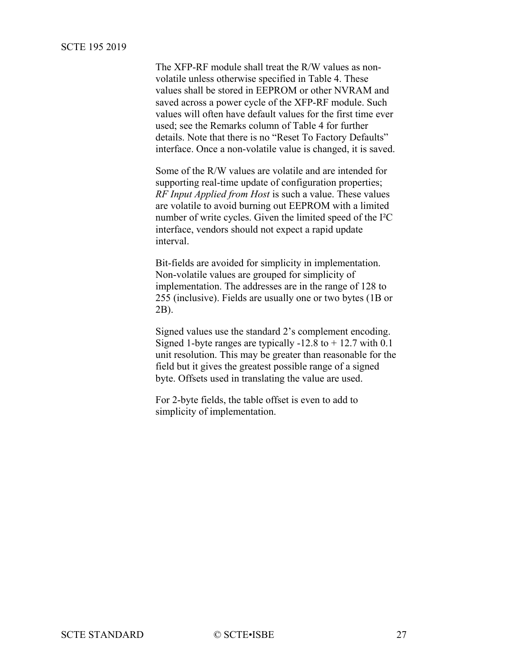<span id="page-26-0"></span>The XFP-RF module shall treat the R/W values as nonvolatile unless otherwise specified in [Table 4.](#page-30-0) These values shall be stored in EEPROM or other NVRAM and saved across a power cycle of the XFP-RF module. Such values will often have default values for the first time ever used; see the Remarks column of [Table 4](#page-30-0) for further details. Note that there is no "Reset To Factory Defaults" interface. Once a non-volatile value is changed, it is saved.

Some of the R/W values are volatile and are intended for supporting real-time update of configuration properties; *RF Input Applied from Host* is such a value. These values are volatile to avoid burning out EEPROM with a limited number of write cycles. Given the limited speed of the I²C interface, vendors should not expect a rapid update interval.

Bit-fields are avoided for simplicity in implementation. Non-volatile values are grouped for simplicity of implementation. The addresses are in the range of 128 to 255 (inclusive). Fields are usually one or two bytes (1B or 2B).

Signed values use the standard 2's complement encoding. Signed 1-byte ranges are typically  $-12.8$  to  $+12.7$  with 0.1 unit resolution. This may be greater than reasonable for the field but it gives the greatest possible range of a signed byte. Offsets used in translating the value are used.

For 2-byte fields, the table offset is even to add to simplicity of implementation.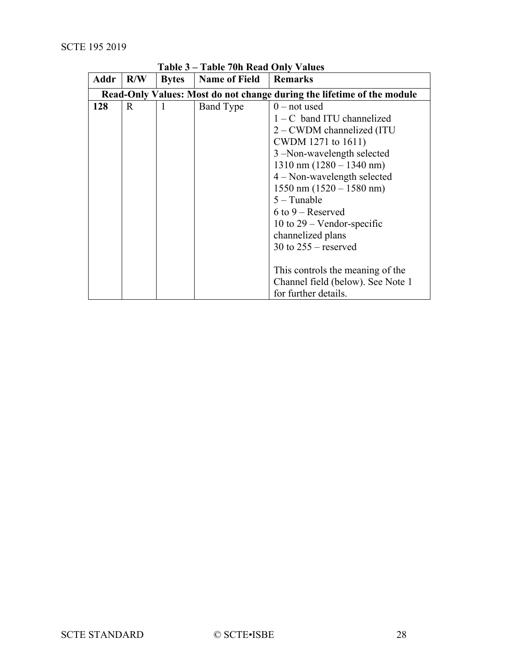| Addr | R/W                                                                    | <b>Bytes</b> | rabic / on recade Omly<br><b>Name of Field</b> | <b>Remarks</b>                     |  |  |
|------|------------------------------------------------------------------------|--------------|------------------------------------------------|------------------------------------|--|--|
|      | Read-Only Values: Most do not change during the lifetime of the module |              |                                                |                                    |  |  |
| 128  | $\mathbf{R}$                                                           | 1            | Band Type                                      | $0$ – not used                     |  |  |
|      |                                                                        |              |                                                | $1 - C$ band ITU channelized       |  |  |
|      |                                                                        |              |                                                | 2 – CWDM channelized (ITU          |  |  |
|      |                                                                        |              |                                                | CWDM 1271 to 1611)                 |  |  |
|      |                                                                        |              |                                                | 3 –Non-wavelength selected         |  |  |
|      |                                                                        |              |                                                | $1310 \text{ nm}$ (1280 – 1340 nm) |  |  |
|      |                                                                        |              |                                                | $4 - Non-wavelength selected$      |  |  |
|      |                                                                        |              | $1550 \text{ nm} (1520 - 1580 \text{ nm})$     |                                    |  |  |
|      |                                                                        |              |                                                | $5 -$ Tunable                      |  |  |
|      |                                                                        |              |                                                | $6$ to $9$ – Reserved              |  |  |
|      |                                                                        |              |                                                | 10 to $29$ – Vendor-specific       |  |  |
|      |                                                                        |              |                                                | channelized plans                  |  |  |
|      |                                                                        |              |                                                | 30 to $255$ – reserved             |  |  |
|      |                                                                        |              |                                                |                                    |  |  |
|      |                                                                        |              |                                                | This controls the meaning of the   |  |  |
|      |                                                                        |              |                                                | Channel field (below). See Note 1  |  |  |
|      |                                                                        |              |                                                | for further details.               |  |  |

**Table 3 – Table 70h Read Only Values**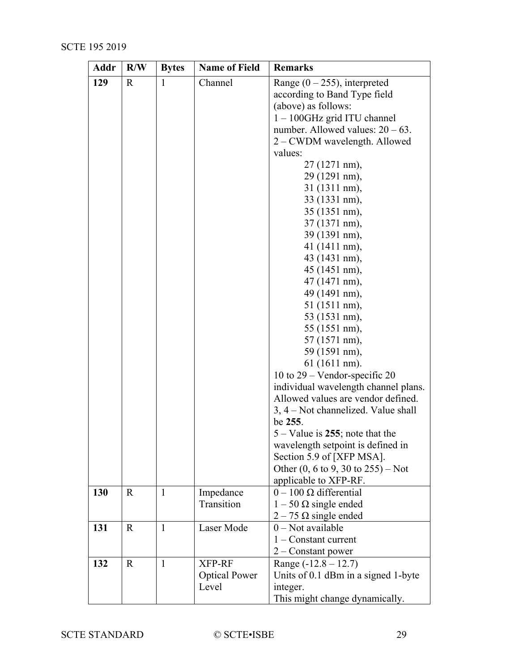| Addr | R/W          | <b>Bytes</b> | <b>Name of Field</b> | <b>Remarks</b>                                         |  |  |
|------|--------------|--------------|----------------------|--------------------------------------------------------|--|--|
| 129  | R            | 1            | Channel              | Range $(0 - 255)$ , interpreted                        |  |  |
|      |              |              |                      | according to Band Type field                           |  |  |
|      |              |              |                      | (above) as follows:                                    |  |  |
|      |              |              |                      | 1 - 100GHz grid ITU channel                            |  |  |
|      |              |              |                      | number. Allowed values: $20 - 63$ .                    |  |  |
|      |              |              |                      | 2 – CWDM wavelength. Allowed                           |  |  |
|      |              |              |                      | values:                                                |  |  |
|      |              |              |                      | 27 (1271 nm),                                          |  |  |
|      |              |              |                      | 29 (1291 nm),                                          |  |  |
|      |              |              |                      | 31 (1311 nm),                                          |  |  |
|      |              |              |                      | 33 (1331 nm),                                          |  |  |
|      |              |              |                      | 35 (1351 nm),                                          |  |  |
|      |              |              |                      | 37 (1371 nm),                                          |  |  |
|      |              |              |                      | 39 (1391 nm),                                          |  |  |
|      |              |              |                      | 41 (1411 nm),                                          |  |  |
|      |              |              |                      | 43 (1431 nm),                                          |  |  |
|      |              |              |                      | 45 (1451 nm),                                          |  |  |
|      |              |              |                      | 47 (1471 nm),                                          |  |  |
|      |              |              |                      | 49 (1491 nm),                                          |  |  |
|      |              |              |                      | 51 (1511 nm),                                          |  |  |
|      |              |              |                      | 53 (1531 nm),                                          |  |  |
|      |              |              |                      | 55 (1551 nm),                                          |  |  |
|      |              |              |                      | 57 (1571 nm),                                          |  |  |
|      |              |              |                      | 59 (1591 nm),                                          |  |  |
|      |              |              |                      | 61 (1611 nm).                                          |  |  |
|      |              |              |                      | 10 to $29$ – Vendor-specific 20                        |  |  |
|      |              |              |                      | individual wavelength channel plans.                   |  |  |
|      |              |              |                      | Allowed values are vendor defined.                     |  |  |
|      |              |              |                      | $3, 4$ – Not channelized. Value shall                  |  |  |
|      |              |              |                      | be 255.                                                |  |  |
|      |              |              |                      | $5 -$ Value is 255; note that the                      |  |  |
|      |              |              |                      | wavelength setpoint is defined in                      |  |  |
|      |              |              |                      | Section 5.9 of [XFP MSA].                              |  |  |
|      |              |              |                      | Other $(0, 6 \text{ to } 9, 30 \text{ to } 255)$ – Not |  |  |
|      |              |              |                      | applicable to XFP-RF.                                  |  |  |
| 130  | $\mathbf{R}$ | $\mathbf{1}$ | Impedance            | $0 - 100 \Omega$ differential                          |  |  |
|      |              |              | Transition           | $1 - 50 \Omega$ single ended                           |  |  |
|      |              |              |                      | $2 - 75 \Omega$ single ended                           |  |  |
| 131  | $\mathbf R$  | $\mathbf{1}$ | Laser Mode           | $0$ – Not available                                    |  |  |
|      |              |              |                      | $1 -$ Constant current                                 |  |  |
|      |              |              |                      | $2$ – Constant power                                   |  |  |
| 132  | $\mathbf{R}$ | $\mathbf{1}$ | XFP-RF               | Range $(-12.8 - 12.7)$                                 |  |  |
|      |              |              | <b>Optical Power</b> | Units of 0.1 dBm in a signed 1-byte                    |  |  |
|      |              |              | Level                | integer.                                               |  |  |
|      |              |              |                      | This might change dynamically.                         |  |  |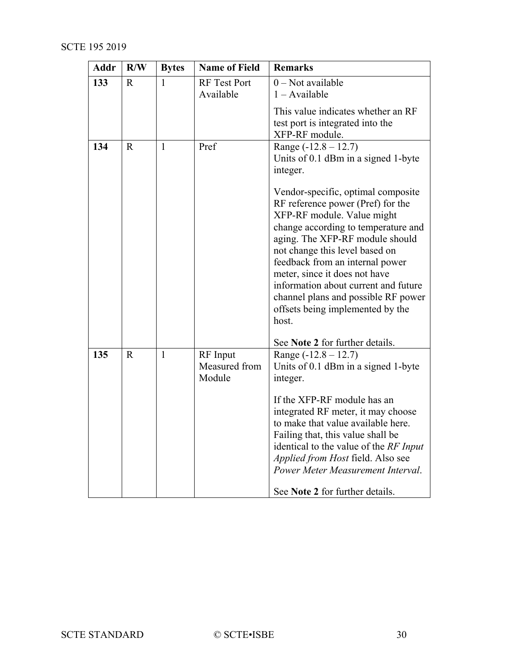| <b>Addr</b> | R/W          | <b>Bytes</b> | <b>Name of Field</b>                | <b>Remarks</b>                                                                                                                                                                                                                                                                                                                                                                                                                                                                                 |
|-------------|--------------|--------------|-------------------------------------|------------------------------------------------------------------------------------------------------------------------------------------------------------------------------------------------------------------------------------------------------------------------------------------------------------------------------------------------------------------------------------------------------------------------------------------------------------------------------------------------|
| 133         | R.           | $\mathbf{1}$ | <b>RF</b> Test Port<br>Available    | $0$ – Not available<br>$1 - Available$                                                                                                                                                                                                                                                                                                                                                                                                                                                         |
|             |              |              |                                     | This value indicates whether an RF<br>test port is integrated into the<br>XFP-RF module.                                                                                                                                                                                                                                                                                                                                                                                                       |
| 134         | $\mathbf R$  | $\mathbf{1}$ | Pref                                | Range $(-12.8 - 12.7)$<br>Units of 0.1 dBm in a signed 1-byte<br>integer.<br>Vendor-specific, optimal composite<br>RF reference power (Pref) for the<br>XFP-RF module. Value might<br>change according to temperature and<br>aging. The XFP-RF module should<br>not change this level based on<br>feedback from an internal power<br>meter, since it does not have<br>information about current and future<br>channel plans and possible RF power<br>offsets being implemented by the<br>host. |
|             |              |              |                                     | See Note 2 for further details.                                                                                                                                                                                                                                                                                                                                                                                                                                                                |
| 135         | $\mathbb{R}$ | $\mathbf{1}$ | RF Input<br>Measured from<br>Module | Range $(-12.8 - 12.7)$<br>Units of 0.1 dBm in a signed 1-byte<br>integer.                                                                                                                                                                                                                                                                                                                                                                                                                      |
|             |              |              |                                     | If the XFP-RF module has an<br>integrated RF meter, it may choose<br>to make that value available here.<br>Failing that, this value shall be<br>identical to the value of the RF Input<br>Applied from Host field. Also see<br>Power Meter Measurement Interval.<br>See Note 2 for further details.                                                                                                                                                                                            |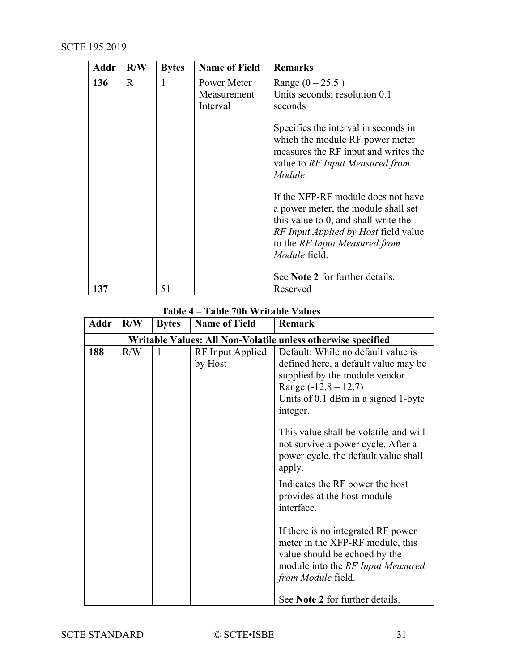| <b>Addr</b> | R/W          | <b>Bytes</b> | <b>Name of Field</b>                   | <b>Remarks</b>                                                                                                                                                                                                     |
|-------------|--------------|--------------|----------------------------------------|--------------------------------------------------------------------------------------------------------------------------------------------------------------------------------------------------------------------|
| 136         | $\mathsf{R}$ | $\mathbf{1}$ | Power Meter<br>Measurement<br>Interval | Range $(0 - 25.5)$<br>Units seconds; resolution 0.1<br>seconds                                                                                                                                                     |
|             |              |              |                                        | Specifies the interval in seconds in<br>which the module RF power meter<br>measures the RF input and writes the<br>value to RF Input Measured from<br>Module.                                                      |
|             |              |              |                                        | If the XFP-RF module does not have<br>a power meter, the module shall set<br>this value to 0, and shall write the<br><i>RF Input Applied by Host field value</i><br>to the RF Input Measured from<br>Module field. |
|             |              |              |                                        | See Note 2 for further details.                                                                                                                                                                                    |
| 137         |              | 51           |                                        | Reserved                                                                                                                                                                                                           |

## **Table 4 – Table 70h Writable Values**

<span id="page-30-0"></span>

| Addr | R/W                                                          | <b>Bytes</b> | <b>Name of Field</b>        | <b>Remark</b>                                                                                                                                                                             |  |  |
|------|--------------------------------------------------------------|--------------|-----------------------------|-------------------------------------------------------------------------------------------------------------------------------------------------------------------------------------------|--|--|
|      | Writable Values: All Non-Volatile unless otherwise specified |              |                             |                                                                                                                                                                                           |  |  |
| 188  | R/W                                                          | 1            | RF Input Applied<br>by Host | Default: While no default value is<br>defined here, a default value may be<br>supplied by the module vendor.<br>Range $(-12.8 - 12.7)$<br>Units of 0.1 dBm in a signed 1-byte<br>integer. |  |  |
|      |                                                              |              |                             | This value shall be volatile and will<br>not survive a power cycle. After a<br>power cycle, the default value shall<br>apply.                                                             |  |  |
|      |                                                              |              |                             | Indicates the RF power the host<br>provides at the host-module<br>interface.                                                                                                              |  |  |
|      |                                                              |              |                             | If there is no integrated RF power<br>meter in the XFP-RF module, this<br>value should be echoed by the<br>module into the RF Input Measured<br>from Module field.                        |  |  |
|      |                                                              |              |                             | See Note 2 for further details.                                                                                                                                                           |  |  |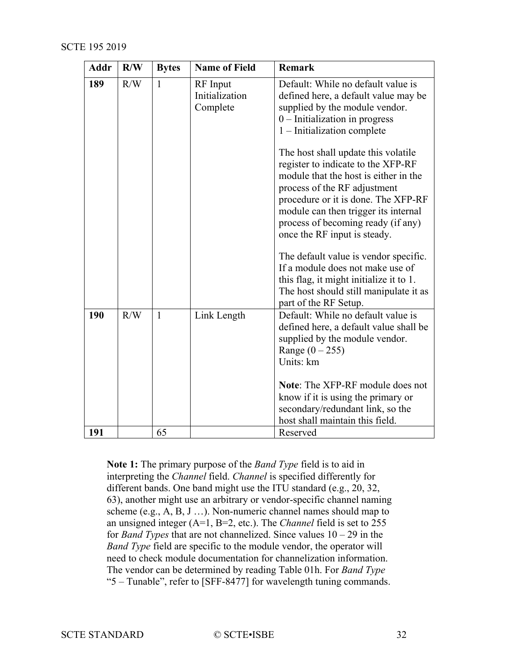| <b>Addr</b> | R/W | <b>Bytes</b> | <b>Name of Field</b>                   | <b>Remark</b>                                                                                                                                                                                                                                                                                                                                                                                                                                                                                                                                                                                                                                                                         |
|-------------|-----|--------------|----------------------------------------|---------------------------------------------------------------------------------------------------------------------------------------------------------------------------------------------------------------------------------------------------------------------------------------------------------------------------------------------------------------------------------------------------------------------------------------------------------------------------------------------------------------------------------------------------------------------------------------------------------------------------------------------------------------------------------------|
| 189         | R/W | $\mathbf{1}$ | RF Input<br>Initialization<br>Complete | Default: While no default value is<br>defined here, a default value may be<br>supplied by the module vendor.<br>$0$ – Initialization in progress<br>1 - Initialization complete<br>The host shall update this volatile<br>register to indicate to the XFP-RF<br>module that the host is either in the<br>process of the RF adjustment<br>procedure or it is done. The XFP-RF<br>module can then trigger its internal<br>process of becoming ready (if any)<br>once the RF input is steady.<br>The default value is vendor specific.<br>If a module does not make use of<br>this flag, it might initialize it to 1.<br>The host should still manipulate it as<br>part of the RF Setup. |
| 190         | R/W | 1            | Link Length                            | Default: While no default value is<br>defined here, a default value shall be<br>supplied by the module vendor.<br>Range $(0 - 255)$<br>Units: km<br>Note: The XFP-RF module does not<br>know if it is using the primary or<br>secondary/redundant link, so the<br>host shall maintain this field.                                                                                                                                                                                                                                                                                                                                                                                     |
| 191         |     | 65           |                                        | Reserved                                                                                                                                                                                                                                                                                                                                                                                                                                                                                                                                                                                                                                                                              |

**Note 1:** The primary purpose of the *Band Type* field is to aid in interpreting the *Channel* field. *Channel* is specified differently for different bands. One band might use the ITU standard (e.g., 20, 32, 63), another might use an arbitrary or vendor-specific channel naming scheme (e.g., A, B, J …). Non-numeric channel names should map to an unsigned integer (A=1, B=2, etc.). The *Channel* field is set to 255 for *Band Types* that are not channelized. Since values 10 – 29 in the *Band Type* field are specific to the module vendor, the operator will need to check module documentation for channelization information. The vendor can be determined by reading Table 01h. For *Band Type* "5 – Tunable", refer to [\[SFF-8477\]](#page-7-6) for wavelength tuning commands.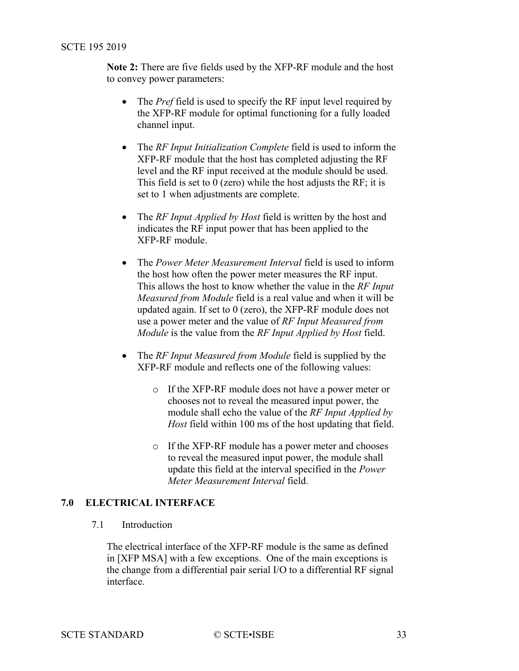<span id="page-32-2"></span>**Note 2:** There are five fields used by the XFP-RF module and the host to convey power parameters:

- The *Pref* field is used to specify the RF input level required by the XFP-RF module for optimal functioning for a fully loaded channel input.
- The *RF Input Initialization Complete* field is used to inform the XFP-RF module that the host has completed adjusting the RF level and the RF input received at the module should be used. This field is set to  $\overline{0}$  (zero) while the host adjusts the RF; it is set to 1 when adjustments are complete.
- The *RF Input Applied by Host* field is written by the host and indicates the RF input power that has been applied to the XFP-RF module.
- The *Power Meter Measurement Interval* field is used to inform the host how often the power meter measures the RF input. This allows the host to know whether the value in the *RF Input Measured from Module* field is a real value and when it will be updated again. If set to 0 (zero), the XFP-RF module does not use a power meter and the value of *RF Input Measured from Module* is the value from the *RF Input Applied by Host* field.
- The *RF Input Measured from Module* field is supplied by the XFP-RF module and reflects one of the following values:
	- o If the XFP-RF module does not have a power meter or chooses not to reveal the measured input power, the module shall echo the value of the *RF Input Applied by Host* field within 100 ms of the host updating that field.
	- o If the XFP-RF module has a power meter and chooses to reveal the measured input power, the module shall update this field at the interval specified in the *Power Meter Measurement Interval* field.

## <span id="page-32-1"></span><span id="page-32-0"></span>**7.0 ELECTRICAL INTERFACE**

#### 7.1 Introduction

The electrical interface of the XFP-RF module is the same as defined in [\[XFP MSA\]](#page-7-4) with a few exceptions. One of the main exceptions is the change from a differential pair serial I/O to a differential RF signal interface.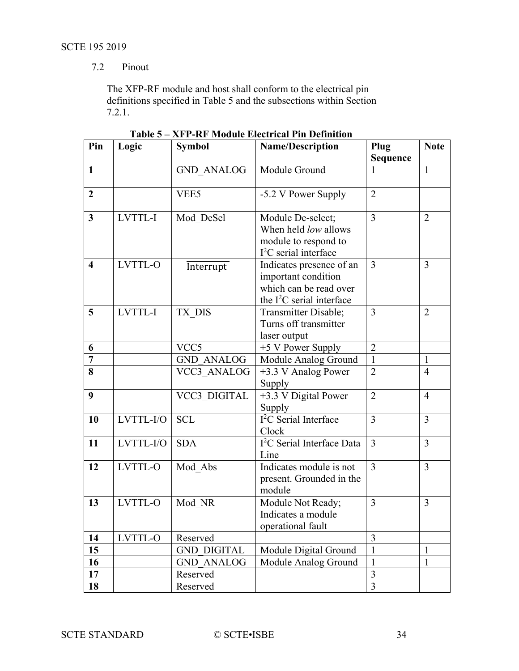## 7.2 Pinout

The XFP-RF module and host shall conform to the electrical pin definitions specified in [Table](#page-33-0) 5 and the subsections within Section [7.2.1.](#page-34-0)

<span id="page-33-0"></span>

| Pin                     | Logic     | <b>Symbol</b>       | <b>Name/Description</b>                                                                                  | Plug                    | <b>Note</b>    |
|-------------------------|-----------|---------------------|----------------------------------------------------------------------------------------------------------|-------------------------|----------------|
|                         |           |                     |                                                                                                          | Sequence                |                |
| $\mathbf{1}$            |           | <b>GND ANALOG</b>   | Module Ground                                                                                            |                         | $\mathbf{1}$   |
| $\overline{2}$          |           | VEE5                | -5.2 V Power Supply                                                                                      | $\overline{2}$          |                |
| $\mathbf{3}$            | LVTTL-I   | Mod DeSel           | Module De-select;<br>When held low allows<br>module to respond to<br>$I2C$ serial interface              | 3                       | 2              |
| $\overline{\mathbf{4}}$ | LVTTL-O   | Interrupt           | Indicates presence of an<br>important condition<br>which can be read over<br>the $I^2C$ serial interface | 3                       | $\overline{3}$ |
| 5                       | LVTTL-I   | TX DIS              | Transmitter Disable;<br>Turns off transmitter<br>laser output                                            | 3                       | $\overline{2}$ |
| 6                       |           | VCC <sub>5</sub>    | +5 V Power Supply                                                                                        | $\overline{2}$          |                |
| $\overline{7}$          |           | <b>GND ANALOG</b>   | Module Analog Ground                                                                                     | $\mathbf{1}$            | $\mathbf{1}$   |
| 8                       |           | VCC3 ANALOG         | +3.3 V Analog Power<br>Supply                                                                            | $\overline{2}$          | $\overline{4}$ |
| 9                       |           | <b>VCC3 DIGITAL</b> | +3.3 V Digital Power<br><b>Supply</b>                                                                    | $\overline{2}$          | $\overline{4}$ |
| 10                      | LVTTL-I/O | <b>SCL</b>          | $1^2$ C Serial Interface<br>Clock                                                                        | 3                       | $\overline{3}$ |
| 11                      | LVTTL-I/O | <b>SDA</b>          | I <sup>2</sup> C Serial Interface Data<br>Line                                                           | $\overline{3}$          | $\overline{3}$ |
| 12                      | LVTTL-O   | Mod Abs             | Indicates module is not<br>present. Grounded in the<br>module                                            | $\overline{3}$          | $\overline{3}$ |
| 13                      | LVTTL-O   | Mod NR              | Module Not Ready;<br>Indicates a module<br>operational fault                                             | 3                       | $\overline{3}$ |
| 14                      | LVTTL-O   | Reserved            |                                                                                                          | 3                       |                |
| $\overline{15}$         |           | <b>GND DIGITAL</b>  | Module Digital Ground                                                                                    | $\mathbf{1}$            | $\mathbf{1}$   |
| 16                      |           | <b>GND ANALOG</b>   | Module Analog Ground                                                                                     | $\mathbf{1}$            | $\mathbf{1}$   |
| 17                      |           | Reserved            |                                                                                                          | $\overline{\mathbf{3}}$ |                |
| 18                      |           | Reserved            |                                                                                                          | $\overline{3}$          |                |

**Table 5 – XFP-RF Module Electrical Pin Definition**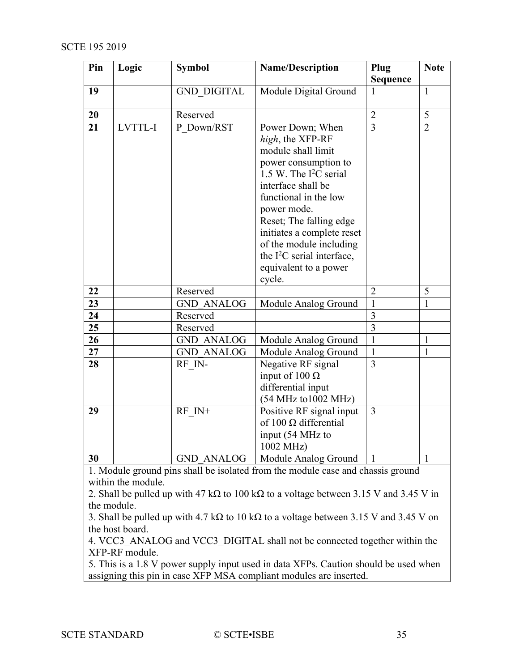<span id="page-34-0"></span>

| Pin             | Logic              | <b>Symbol</b>      | <b>Name/Description</b>                                                                                                                                                                                                                                                                                                             | Plug<br><b>Sequence</b> | <b>Note</b>    |
|-----------------|--------------------|--------------------|-------------------------------------------------------------------------------------------------------------------------------------------------------------------------------------------------------------------------------------------------------------------------------------------------------------------------------------|-------------------------|----------------|
| 19              |                    | <b>GND_DIGITAL</b> | Module Digital Ground                                                                                                                                                                                                                                                                                                               |                         | $\mathbf{1}$   |
| 20              |                    | Reserved           |                                                                                                                                                                                                                                                                                                                                     | $\overline{2}$          | 5              |
| $\overline{21}$ | LVTTL-I            | P Down/RST         | Power Down; When<br>high, the XFP-RF<br>module shall limit<br>power consumption to<br>1.5 W. The $I^2C$ serial<br>interface shall be<br>functional in the low<br>power mode.<br>Reset; The falling edge<br>initiates a complete reset<br>of the module including<br>the $I^2C$ serial interface,<br>equivalent to a power<br>cycle. | $\overline{3}$          | $\overline{2}$ |
| 22              |                    | Reserved           |                                                                                                                                                                                                                                                                                                                                     | $\overline{2}$          | 5              |
| 23              |                    | <b>GND ANALOG</b>  | Module Analog Ground                                                                                                                                                                                                                                                                                                                | $\mathbf{1}$            | 1              |
| 24              |                    | Reserved           |                                                                                                                                                                                                                                                                                                                                     | $\overline{\mathbf{3}}$ |                |
| 25              |                    | Reserved           |                                                                                                                                                                                                                                                                                                                                     | $\overline{3}$          |                |
| 26              |                    | <b>GND ANALOG</b>  | Module Analog Ground                                                                                                                                                                                                                                                                                                                | $\mathbf{1}$            | $\mathbf{1}$   |
| 27              |                    | <b>GND ANALOG</b>  | Module Analog Ground                                                                                                                                                                                                                                                                                                                | $\mathbf{1}$            | $\mathbf{1}$   |
| 28              |                    | RF IN-             | Negative RF signal<br>input of $100 \Omega$<br>differential input<br>(54 MHz to 1002 MHz)                                                                                                                                                                                                                                           | $\overline{3}$          |                |
| 29              |                    | RF IN+             | Positive RF signal input<br>of 100 $\Omega$ differential<br>input (54 MHz to<br>1002 MHz)                                                                                                                                                                                                                                           | $\overline{3}$          |                |
| 30              |                    | <b>GND ANALOG</b>  | Module Analog Ground                                                                                                                                                                                                                                                                                                                |                         | $\mathbf{1}$   |
|                 | within the module. |                    | 1. Module ground pins shall be isolated from the module case and chassis ground                                                                                                                                                                                                                                                     |                         |                |

2. Shall be pulled up with 47 kΩ to 100 kΩ to a voltage between 3.15 V and 3.45 V in the module.

3. Shall be pulled up with 4.7 kΩ to 10 kΩ to a voltage between 3.15 V and 3.45 V on the host board.

4. VCC3\_ANALOG and VCC3\_DIGITAL shall not be connected together within the XFP-RF module.

5. This is a 1.8 V power supply input used in data XFPs. Caution should be used when assigning this pin in case XFP MSA compliant modules are inserted.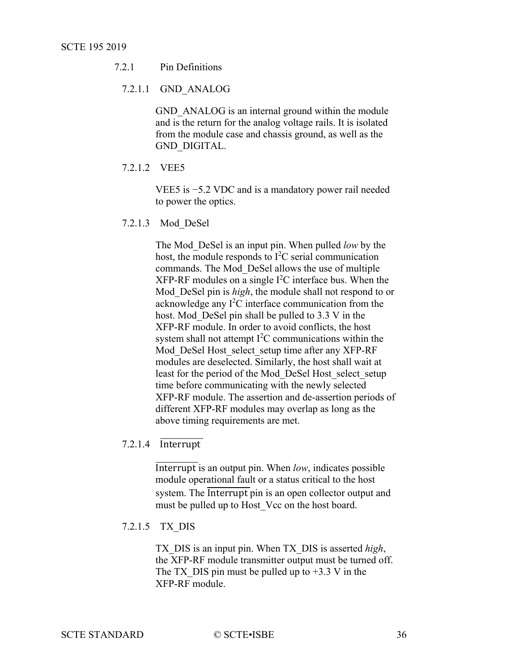## 7.2.1 Pin Definitions

#### 7.2.1.1 GND\_ANALOG

GND ANALOG is an internal ground within the module and is the return for the analog voltage rails. It is isolated from the module case and chassis ground, as well as the GND\_DIGITAL.

7.2.1.2 VEE5

VEE5 is −5.2 VDC and is a mandatory power rail needed to power the optics.

7.2.1.3 Mod\_DeSel

The Mod\_DeSel is an input pin. When pulled *low* by the host, the module responds to  $I^2C$  serial communication commands. The Mod\_DeSel allows the use of multiple  $XFP-RF$  modules on a single  $I<sup>2</sup>C$  interface bus. When the Mod\_DeSel pin is *high*, the module shall not respond to or acknowledge any  $I<sup>2</sup>C$  interface communication from the host. Mod DeSel pin shall be pulled to 3.3 V in the XFP-RF module. In order to avoid conflicts, the host system shall not attempt  $I<sup>2</sup>C$  communications within the Mod DeSel Host select setup time after any XFP-RF modules are deselected. Similarly, the host shall wait at least for the period of the Mod\_DeSel Host\_select\_setup time before communicating with the newly selected XFP-RF module. The assertion and de-assertion periods of different XFP-RF modules may overlap as long as the above timing requirements are met.

## 7.2.1.4 Interrupt

Interrupt is an output pin. When *low*, indicates possible module operational fault or a status critical to the host system. The **Interrupt** pin is an open collector output and must be pulled up to Host Vcc on the host board.

#### 7.2.1.5 TX\_DIS

TX\_DIS is an input pin. When TX\_DIS is asserted *high*, the XFP-RF module transmitter output must be turned off. The TX DIS pin must be pulled up to  $+3.3$  V in the XFP-RF module.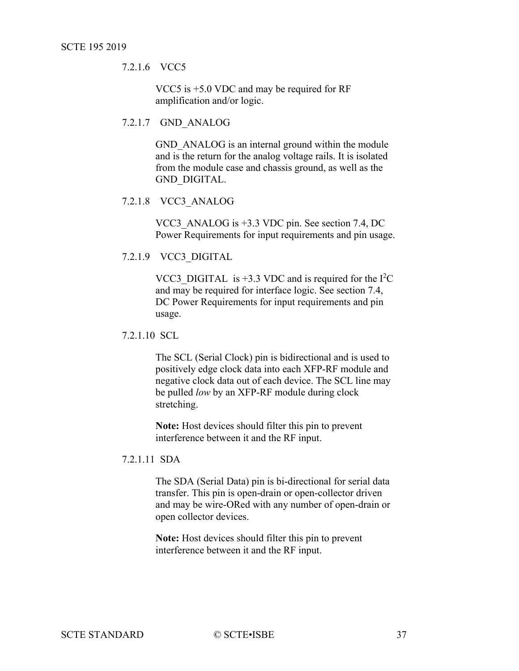7.2.1.6 VCC5

VCC5 is +5.0 VDC and may be required for RF amplification and/or logic.

#### 7.2.1.7 GND\_ANALOG

GND ANALOG is an internal ground within the module and is the return for the analog voltage rails. It is isolated from the module case and chassis ground, as well as the GND\_DIGITAL.

#### 7.2.1.8 VCC3\_ANALOG

VCC3\_ANALOG is +3.3 VDC pin. See section [7.4, DC](#page-41-1)  [Power Requirements](#page-41-1) for input requirements and pin usage.

#### 7.2.1.9 VCC3\_DIGITAL

VCC3\_DIGITAL is  $+3.3$  VDC and is required for the  $I<sup>2</sup>C$ and may be required for interface logic. See section [7.4,](#page-41-1) [DC Power Requirements](#page-41-1) for input requirements and pin usage.

#### 7.2.1.10 SCL

The SCL (Serial Clock) pin is bidirectional and is used to positively edge clock data into each XFP-RF module and negative clock data out of each device. The SCL line may be pulled *low* by an XFP-RF module during clock stretching.

**Note:** Host devices should filter this pin to prevent interference between it and the RF input.

#### 7.2.1.11 SDA

The SDA (Serial Data) pin is bi-directional for serial data transfer. This pin is open-drain or open-collector driven and may be wire-ORed with any number of open-drain or open collector devices.

**Note:** Host devices should filter this pin to prevent interference between it and the RF input.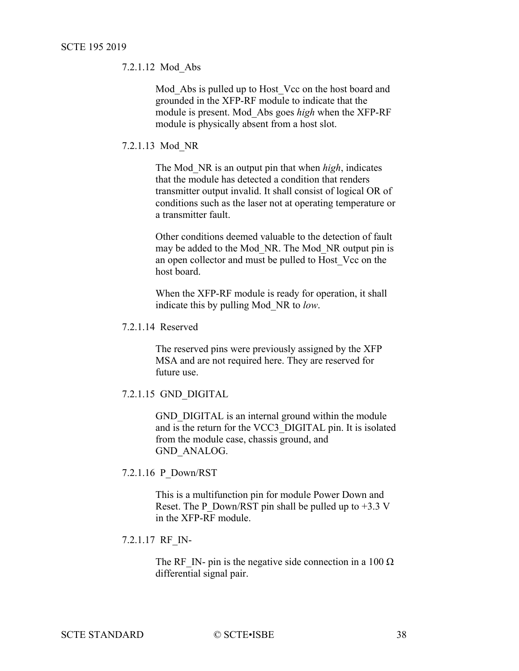7.2.1.12 Mod\_Abs

Mod Abs is pulled up to Host Vcc on the host board and grounded in the XFP-RF module to indicate that the module is present. Mod\_Abs goes *high* when the XFP-RF module is physically absent from a host slot.

7.2.1.13 Mod\_NR

The Mod\_NR is an output pin that when *high*, indicates that the module has detected a condition that renders transmitter output invalid. It shall consist of logical OR of conditions such as the laser not at operating temperature or a transmitter fault.

Other conditions deemed valuable to the detection of fault may be added to the Mod\_NR. The Mod\_NR output pin is an open collector and must be pulled to Host\_Vcc on the host board.

When the XFP-RF module is ready for operation, it shall indicate this by pulling Mod\_NR to *low*.

The reserved pins were previously assigned by the XFP MSA and are not required here. They are reserved for future use.

7.2.1.15 GND\_DIGITAL

GND DIGITAL is an internal ground within the module and is the return for the VCC3\_DIGITAL pin. It is isolated from the module case, chassis ground, and GND\_ANALOG.

7.2.1.16 P\_Down/RST

This is a multifunction pin for module Power Down and Reset. The P\_Down/RST pin shall be pulled up to  $+3.3$  V in the XFP-RF module.

7.2.1.17 RF\_IN-

The RF IN- pin is the negative side connection in a 100  $\Omega$ differential signal pair.

<sup>7.2.1.14</sup> Reserved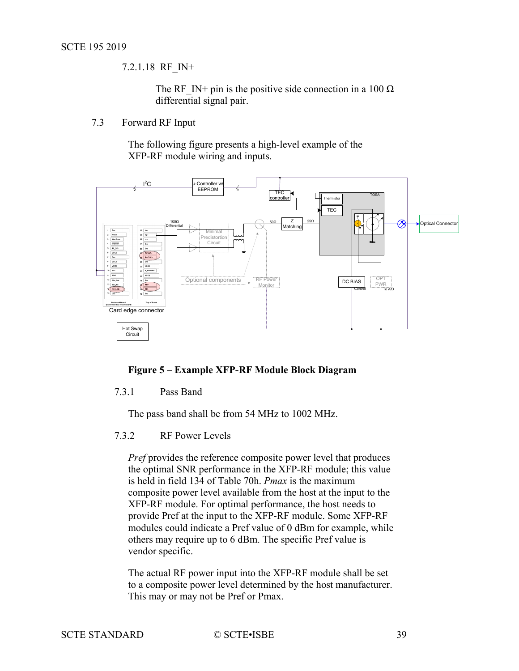7.2.1.18 RF\_IN+

The RF IN+ pin is the positive side connection in a 100  $\Omega$ differential signal pair.

<span id="page-38-0"></span>7.3 Forward RF Input

The following figure presents a high-level example of the XFP-RF module wiring and inputs.



#### <span id="page-38-3"></span>**Figure 5 – Example XFP-RF Module Block Diagram**

#### <span id="page-38-1"></span>7.3.1 Pass Band

The pass band shall be from 54 MHz to 1002 MHz.

#### <span id="page-38-2"></span>7.3.2 RF Power Levels

*Pref* provides the reference composite power level that produces the optimal SNR performance in the XFP-RF module; this value is held in field 134 of Table 70h. *Pmax* is the maximum composite power level available from the host at the input to the XFP-RF module. For optimal performance, the host needs to provide Pref at the input to the XFP-RF module. Some XFP-RF modules could indicate a Pref value of 0 dBm for example, while others may require up to 6 dBm. The specific Pref value is vendor specific.

The actual RF power input into the XFP-RF module shall be set to a composite power level determined by the host manufacturer. This may or may not be Pref or Pmax.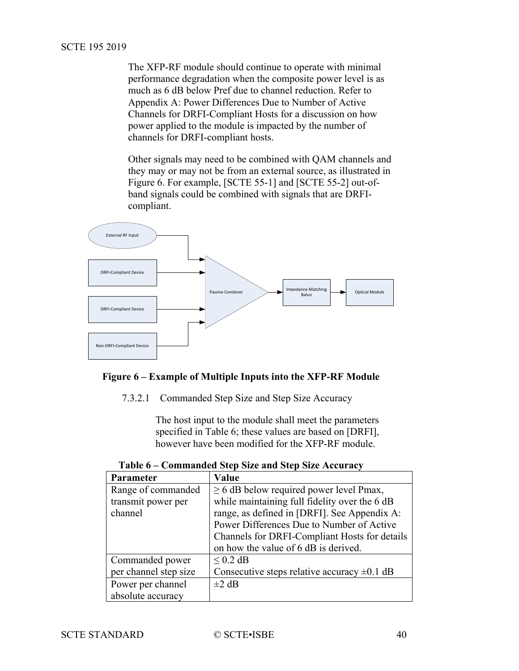The XFP-RF module should continue to operate with minimal performance degradation when the composite power level is as much as 6 dB below Pref due to channel reduction. Refer to [Appendix A:](#page-47-2) [Power Differences Due to Number of Active](#page-47-2)  Channels [for DRFI-Compliant Hosts](#page-47-2) for a discussion on how power applied to the module is impacted by the number of channels for DRFI-compliant hosts.

Other signals may need to be combined with QAM channels and they may or may not be from an external source, as illustrated in [Figure 6.](#page-39-0) For example, [\[SCTE 55-1\]](#page-7-7) and [\[SCTE 55-2\]](#page-7-8) out-ofband signals could be combined with signals that are DRFIcompliant.



#### <span id="page-39-0"></span>**Figure 6 – Example of Multiple Inputs into the XFP-RF Module**

7.3.2.1 Commanded Step Size and Step Size Accuracy

The host input to the module shall meet the parameters specified in [Table 6;](#page-39-1) these values are based on [\[DRFI\],](#page-7-9) however have been modified for the XFP-RF module.

<span id="page-39-1"></span>

| <b>Parameter</b>      | Value                                            |  |  |  |  |  |
|-----------------------|--------------------------------------------------|--|--|--|--|--|
| Range of commanded    | $\geq$ 6 dB below required power level Pmax,     |  |  |  |  |  |
| transmit power per    | while maintaining full fidelity over the 6 dB    |  |  |  |  |  |
| channel               | range, as defined in [DRFI]. See Appendix A:     |  |  |  |  |  |
|                       | Power Differences Due to Number of Active        |  |  |  |  |  |
|                       | Channels for DRFI-Compliant Hosts for details    |  |  |  |  |  |
|                       | on how the value of 6 dB is derived.             |  |  |  |  |  |
| Commanded power       | $< 0.2$ dB                                       |  |  |  |  |  |
| per channel step size | Consecutive steps relative accuracy $\pm 0.1$ dB |  |  |  |  |  |
| Power per channel     | $\pm 2$ dB                                       |  |  |  |  |  |
| absolute accuracy     |                                                  |  |  |  |  |  |

**Table 6 – Commanded Step Size and Step Size Accuracy**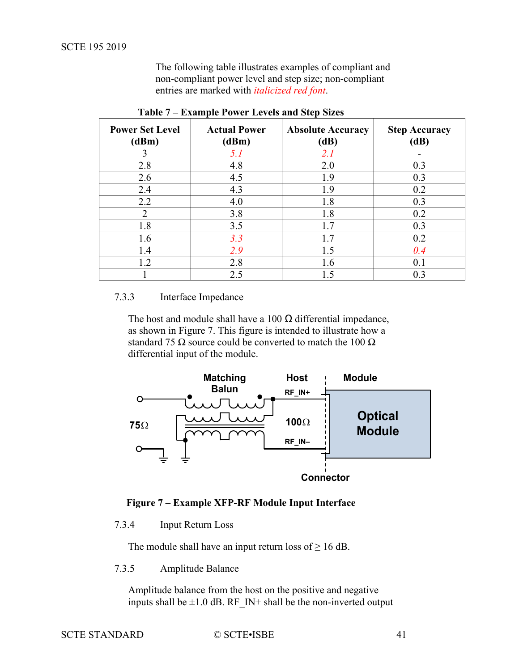The following table illustrates examples of compliant and non-compliant power level and step size; non-compliant entries are marked with *italicized red font*.

<span id="page-40-4"></span>

| <b>Power Set Level</b><br>(dBm) | <b>Actual Power</b><br>(dBm) | <b>Absolute Accuracy</b><br>(dB) | <b>Step Accuracy</b><br>(dB) |
|---------------------------------|------------------------------|----------------------------------|------------------------------|
| 3                               | 5.1                          | 2.1                              |                              |
| 2.8                             | 4.8                          | 2.0                              | 0.3                          |
| 2.6                             | 4.5                          | 1.9                              | 0.3                          |
| 2.4                             | 4.3                          | 1.9                              | 0.2                          |
| 2.2                             | 4.0                          | 1.8                              | 0.3                          |
| $\mathcal{D}_{\mathcal{L}}$     | 3.8                          | 1.8                              | 0.2                          |
| 1.8                             | 3.5                          | 1.7                              | 0.3                          |
| 1.6                             | 3.3                          | 1.7                              | 0.2                          |
| 1.4                             | 2.9                          | 1.5                              | 0.4                          |
| 1.2                             | 2.8                          | 1.6                              | 0.1                          |
|                                 | 2.5                          | 1.5                              | 0.3                          |

**Table 7 – Example Power Levels and Step Sizes**

#### <span id="page-40-0"></span>7.3.3 Interface Impedance

The host and module shall have a 100  $\Omega$  differential impedance, as shown in [Figure 7.](#page-40-3) This figure is intended to illustrate how a standard 75  $\Omega$  source could be converted to match the 100  $\Omega$ differential input of the module.



#### **Figure 7 – Example XFP-RF Module Input Interface**

#### <span id="page-40-3"></span><span id="page-40-1"></span>7.3.4 Input Return Loss

The module shall have an input return loss of  $\geq 16$  dB.

## <span id="page-40-2"></span>7.3.5 Amplitude Balance

Amplitude balance from the host on the positive and negative inputs shall be  $\pm 1.0$  dB. RF IN+ shall be the non-inverted output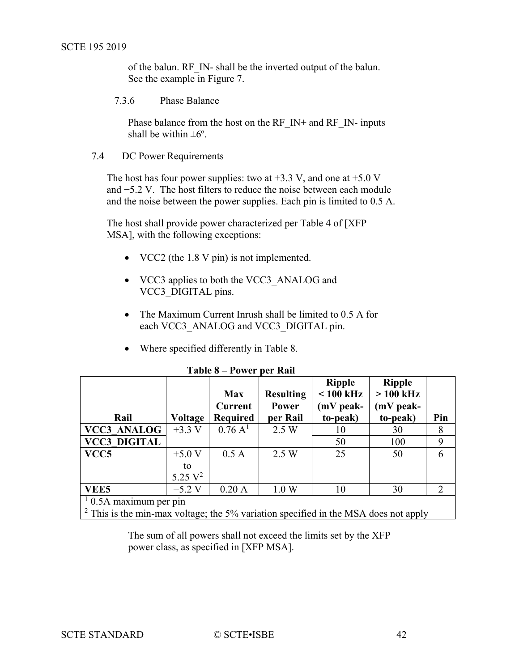<span id="page-41-2"></span>of the balun. RF\_IN- shall be the inverted output of the balun. See the example in [Figure 7.](#page-40-3)

<span id="page-41-0"></span>7.3.6 Phase Balance

Phase balance from the host on the RF\_IN+ and RF\_IN- inputs shall be within  $\pm 6^{\circ}$ .

<span id="page-41-1"></span>7.4 DC Power Requirements

The host has four power supplies: two at  $+3.3$  V, and one at  $+5.0$  V and −5.2 V. The host filters to reduce the noise between each module and the noise between the power supplies. Each pin is limited to 0.5 A.

The host shall provide power characterized per Table 4 of [\[XFP](#page-7-4)  [MSA\],](#page-7-4) with the following exceptions:

- VCC2 (the 1.8 V pin) is not implemented.
- VCC3 applies to both the VCC3 ANALOG and VCC3\_DIGITAL pins.
- The Maximum Current Inrush shall be limited to 0.5 A for each VCC3 ANALOG and VCC3 DIGITAL pin.
- Where specified differently in [Table 8.](#page-41-3)

<span id="page-41-3"></span>

|                                                                                       |            | <b>Max</b><br>Current | <b>Resulting</b><br>Power | <b>Ripple</b><br>$< 100$ kHz<br>(mV peak- | <b>Ripple</b><br>$>100$ kHz<br>$(mV$ peak- |     |  |  |
|---------------------------------------------------------------------------------------|------------|-----------------------|---------------------------|-------------------------------------------|--------------------------------------------|-----|--|--|
| Rail                                                                                  | Voltage    | <b>Required</b>       | per Rail                  | to-peak)                                  | to-peak)                                   | Pin |  |  |
| <b>VCC3 ANALOG</b>                                                                    | $+3.3 V$   | $0.76\;{\rm A}^{1}$   | 2.5 W                     | 10                                        | 30                                         | 8   |  |  |
| <b>VCC3 DIGITAL</b>                                                                   |            |                       |                           | 50                                        | 100                                        | 9   |  |  |
| VCC <sub>5</sub>                                                                      | $+5.0$ V   | 0.5A                  | 2.5 W                     | 25                                        | 50                                         | 6   |  |  |
|                                                                                       | to         |                       |                           |                                           |                                            |     |  |  |
|                                                                                       | 5.25 $V^2$ |                       |                           |                                           |                                            |     |  |  |
| VEE5                                                                                  | $-5.2$ V   | 0.20A                 | 1.0 W                     | 10                                        | 30                                         | 2   |  |  |
| $10.5A$ maximum per pin                                                               |            |                       |                           |                                           |                                            |     |  |  |
| $2$ This is the min-max voltage; the 5% variation specified in the MSA does not apply |            |                       |                           |                                           |                                            |     |  |  |

#### **Table 8 – Power per Rail**

The sum of all powers shall not exceed the limits set by the XFP power class, as specified in [\[XFP MSA\].](#page-7-4)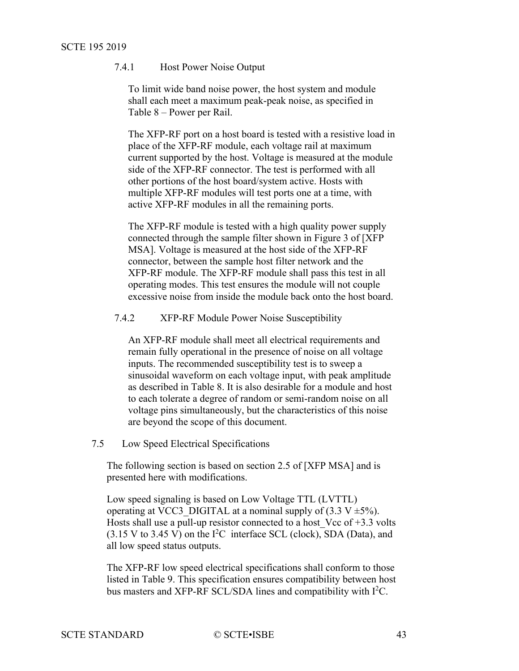## <span id="page-42-2"></span>7.4.1 Host Power Noise Output

To limit wide band noise power, the host system and module shall each meet a maximum peak-peak noise, as specified in Table 8 – [Power per Rail.](#page-41-3)

The XFP-RF port on a host board is tested with a resistive load in place of the XFP-RF module, each voltage rail at maximum current supported by the host. Voltage is measured at the module side of the XFP-RF connector. The test is performed with all other portions of the host board/system active. Hosts with multiple XFP-RF modules will test ports one at a time, with active XFP-RF modules in all the remaining ports.

The XFP-RF module is tested with a high quality power supply connected through the sample filter shown in Figure 3 of [\[XFP](#page-7-4)  [MSA\].](#page-7-4) Voltage is measured at the host side of the XFP-RF connector, between the sample host filter network and the XFP-RF module. The XFP-RF module shall pass this test in all operating modes. This test ensures the module will not couple excessive noise from inside the module back onto the host board.

<span id="page-42-0"></span>7.4.2 XFP-RF Module Power Noise Susceptibility

An XFP-RF module shall meet all electrical requirements and remain fully operational in the presence of noise on all voltage inputs. The recommended susceptibility test is to sweep a sinusoidal waveform on each voltage input, with peak amplitude as described in [Table 8.](#page-41-3) It is also desirable for a module and host to each tolerate a degree of random or semi-random noise on all voltage pins simultaneously, but the characteristics of this noise are beyond the scope of this document.

<span id="page-42-1"></span>7.5 Low Speed Electrical Specifications

The following section is based on section 2.5 of [\[XFP MSA\]](#page-7-4) and is presented here with modifications.

Low speed signaling is based on Low Voltage TTL (LVTTL) operating at VCC3 DIGITAL at a nominal supply of  $(3.3 V \pm 5\%)$ . Hosts shall use a pull-up resistor connected to a host Vcc of  $+3.3$  volts  $(3.15 \text{ V to } 3.45 \text{ V})$  on the I<sup>2</sup>C interface SCL (clock), SDA (Data), and all low speed status outputs.

The XFP-RF low speed electrical specifications shall conform to those listed in [Table 9.](#page-42-2) This specification ensures compatibility between host bus masters and XFP-RF SCL/SDA lines and compatibility with  $I^2C$ .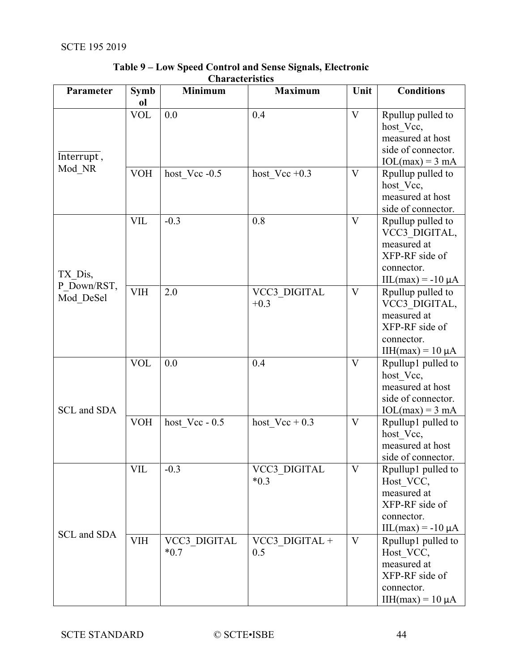| Parameter                | <b>Symb</b><br>ol | <b>Minimum</b>         | <b>Maximum</b>         | Unit                    | <b>Conditions</b>                                                                                                               |
|--------------------------|-------------------|------------------------|------------------------|-------------------------|---------------------------------------------------------------------------------------------------------------------------------|
| Interrupt,               | <b>VOL</b>        | 0.0                    | 0.4                    | V                       | Rpullup pulled to<br>host Vcc,<br>measured at host<br>side of connector.<br>$IOL(max) = 3 mA$                                   |
| Mod_NR                   | <b>VOH</b>        | host Vcc -0.5          | host Vcc $+0.3$        | V                       | Rpullup pulled to<br>host Vcc,<br>measured at host<br>side of connector.                                                        |
| TX Dis,                  | <b>VIL</b>        | $-0.3$                 | 0.8                    | $\overline{V}$          | Rpullup pulled to<br>VCC3 DIGITAL,<br>measured at<br>XFP-RF side of<br>connector.<br>$\text{IIL}(\text{max}) = -10 \mu\text{A}$ |
| P Down/RST,<br>Mod DeSel | <b>VIH</b>        | 2.0                    | VCC3_DIGITAL<br>$+0.3$ | $\mathbf{V}$            | Rpullup pulled to<br>VCC3 DIGITAL,<br>measured at<br>XFP-RF side of<br>connector.<br>IIH(max) = $10 \mu A$                      |
| SCL and SDA              | <b>VOL</b>        | 0.0                    | 0.4                    | $\overline{\mathsf{V}}$ | Rpullup1 pulled to<br>host_Vcc,<br>measured at host<br>side of connector.<br>$IOL(max) = 3 mA$                                  |
|                          | <b>VOH</b>        | host $Vec - 0.5$       | host $Vec + 0.3$       | V                       | Rpullup1 pulled to<br>host_Vcc,<br>measured at host<br>side of connector.                                                       |
| SCL and SDA              | VIL               | $-0.3$                 | VCC3 DIGITAL<br>$*0.3$ | V                       | Rpullup1 pulled to<br>Host VCC,<br>measured at<br>XFP-RF side of<br>connector.<br>$\text{IIL}(\text{max}) = -10 \mu\text{A}$    |
|                          | <b>VIH</b>        | VCC3 DIGITAL<br>$*0.7$ | VCC3 DIGITAL +<br>0.5  | V                       | Rpullup1 pulled to<br>Host VCC,<br>measured at<br>XFP-RF side of<br>connector.<br>$IIH(max) = 10 \mu A$                         |

## **Table 9 – Low Speed Control and Sense Signals, Electronic Characteristics**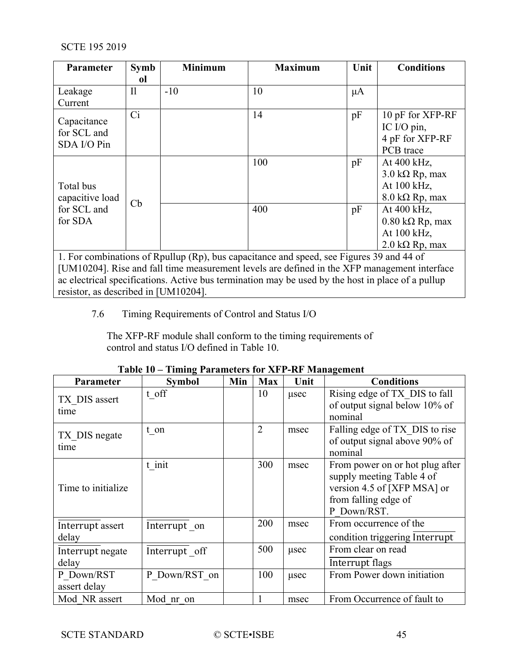| <b>Parameter</b>           | <b>Symb</b>   | <b>Minimum</b> | <b>Maximum</b>                                                                                    | Unit    | <b>Conditions</b>              |
|----------------------------|---------------|----------------|---------------------------------------------------------------------------------------------------|---------|--------------------------------|
|                            | <sub>ol</sub> |                |                                                                                                   |         |                                |
| Leakage                    | $\mathbf{I}$  | $-10$          | 10                                                                                                | $\mu A$ |                                |
| Current                    |               |                |                                                                                                   |         |                                |
|                            | Ci            |                | 14                                                                                                | pF      | 10 pF for XFP-RF               |
| Capacitance<br>for SCL and |               |                |                                                                                                   |         | IC I/O pin,                    |
| SDA I/O Pin                |               |                |                                                                                                   |         | 4 pF for XFP-RF                |
|                            |               |                |                                                                                                   |         | PCB trace                      |
|                            |               |                | 100                                                                                               | pF      | At 400 kHz,                    |
|                            |               |                |                                                                                                   |         | $3.0 \text{ k}\Omega$ Rp, max  |
| Total bus                  |               |                |                                                                                                   |         | At 100 kHz,                    |
| capacitive load            |               |                |                                                                                                   |         | $8.0 \text{ k}\Omega$ Rp, max  |
| for SCL and                | Cb            |                | 400                                                                                               | pF      | At 400 kHz,                    |
| for SDA                    |               |                |                                                                                                   |         | $0.80 \text{ k}\Omega$ Rp, max |
|                            |               |                |                                                                                                   |         | At 100 kHz,                    |
|                            |               |                |                                                                                                   |         | $2.0 \text{ k}\Omega$ Rp, max  |
|                            |               |                | 1. For combinations of Rpullup (Rp), bus capacitance and speed, see Figures 39 and 44 of          |         |                                |
|                            |               |                | [UM10204]. Rise and fall time measurement levels are defined in the XFP management interface      |         |                                |
|                            |               |                | ac electrical specifications. Active bus termination may be used by the host in place of a pullup |         |                                |

<span id="page-44-0"></span>resistor, as described in [\[UM10204\].](#page-7-5)

7.6 Timing Requirements of Control and Status I/O

The XFP-RF module shall conform to the timing requirements of control and status I/O defined in [Table 10.](#page-44-1)

<span id="page-44-1"></span>

| Parameter                  | <b>Symbol</b> | Min | <b>Max</b>     | Unit | <b>Conditions</b>                                                                                                                  |
|----------------------------|---------------|-----|----------------|------|------------------------------------------------------------------------------------------------------------------------------------|
| TX DIS assert<br>time      | t off         |     | 10             | usec | Rising edge of TX DIS to fall<br>of output signal below 10% of<br>nominal                                                          |
| TX DIS negate<br>time      | t on          |     | $\overline{2}$ | msec | Falling edge of TX DIS to rise<br>of output signal above 90% of<br>nominal                                                         |
| Time to initialize         | t init        |     | 300            | msec | From power on or hot plug after<br>supply meeting Table 4 of<br>version 4.5 of [XFP MSA] or<br>from falling edge of<br>P Down/RST. |
| Interrupt assert<br>delay  | Interrupt on  |     | 200            | msec | From occurrence of the<br>condition triggering Interrupt                                                                           |
| Interrupt negate<br>delay  | Interrupt off |     | 500            | usec | From clear on read<br><b>Interrupt</b> flags                                                                                       |
| P Down/RST<br>assert delay | P Down/RST on |     | 100            | usec | From Power down initiation                                                                                                         |
| Mod NR assert              | Mod nr on     |     |                | msec | From Occurrence of fault to                                                                                                        |

## **Table 10 – Timing Parameters for XFP-RF Management**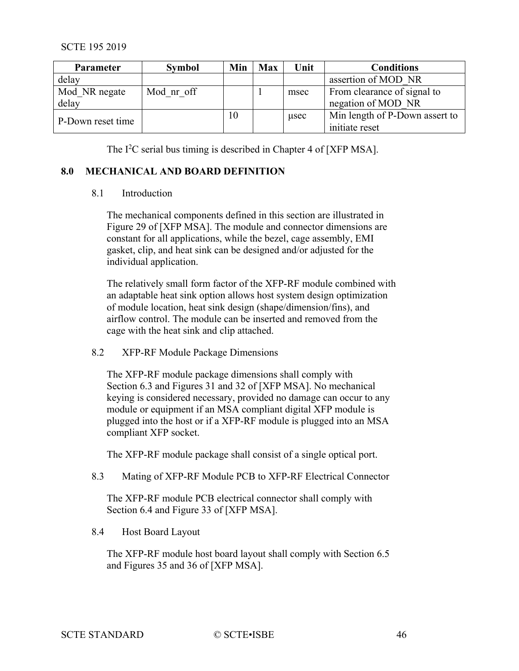<span id="page-45-5"></span>

| Parameter         | <b>Symbol</b> | Min | <b>Max</b> | Unit | <b>Conditions</b>              |
|-------------------|---------------|-----|------------|------|--------------------------------|
| delay             |               |     |            |      | assertion of MOD NR            |
| Mod NR negate     | Mod nr off    |     |            | msec | From clearance of signal to    |
| delay             |               |     |            |      | negation of MOD NR             |
|                   |               | 10  |            | usec | Min length of P-Down assert to |
| P-Down reset time |               |     |            |      | initiate reset                 |

The I<sup>2</sup>C serial bus timing is described in Chapter 4 of [\[XFP MSA\].](#page-7-4)

#### <span id="page-45-1"></span><span id="page-45-0"></span>**8.0 MECHANICAL AND BOARD DEFINITION**

#### 8.1 Introduction

The mechanical components defined in this section are illustrated in Figure 29 of [\[XFP MSA\].](#page-7-4) The module and connector dimensions are constant for all applications, while the bezel, cage assembly, EMI gasket, clip, and heat sink can be designed and/or adjusted for the individual application.

The relatively small form factor of the XFP-RF module combined with an adaptable heat sink option allows host system design optimization of module location, heat sink design (shape/dimension/fins), and airflow control. The module can be inserted and removed from the cage with the heat sink and clip attached.

<span id="page-45-2"></span>8.2 XFP-RF Module Package Dimensions

The XFP-RF module package dimensions shall comply with Section 6.3 and Figures 31 and 32 of [\[XFP MSA\].](#page-7-4) No mechanical keying is considered necessary, provided no damage can occur to any module or equipment if an MSA compliant digital XFP module is plugged into the host or if a XFP-RF module is plugged into an MSA compliant XFP socket.

The XFP-RF module package shall consist of a single optical port.

<span id="page-45-3"></span>8.3 Mating of XFP-RF Module PCB to XFP-RF Electrical Connector

The XFP-RF module PCB electrical connector shall comply with Section 6.4 and Figure 33 of [\[XFP MSA\].](#page-7-4)

<span id="page-45-4"></span>8.4 Host Board Layout

The XFP-RF module host board layout shall comply with Section 6.5 and Figures 35 and 36 of [\[XFP MSA\].](#page-7-4)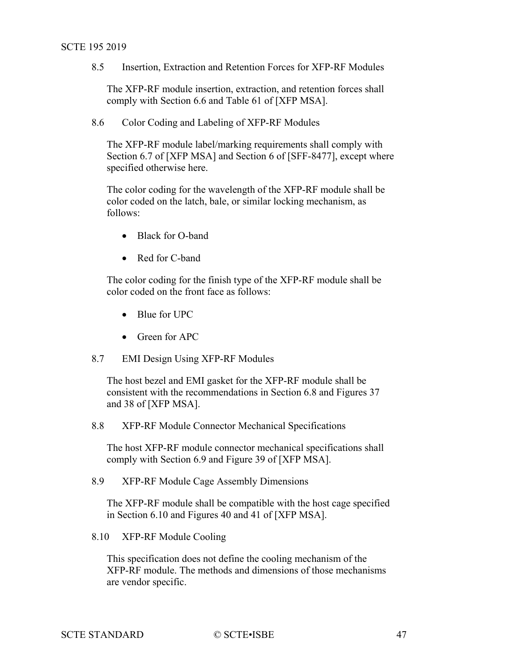<span id="page-46-5"></span>8.5 Insertion, Extraction and Retention Forces for XFP-RF Modules

The XFP-RF module insertion, extraction, and retention forces shall comply with Section 6.6 and Table 61 of [\[XFP MSA\].](#page-7-4)

<span id="page-46-0"></span>8.6 Color Coding and Labeling of XFP-RF Modules

The XFP-RF module label/marking requirements shall comply with Section 6.7 of [\[XFP MSA\]](#page-7-4) and Section 6 of [\[SFF-8477\],](#page-7-6) except where specified otherwise here.

The color coding for the wavelength of the XFP-RF module shall be color coded on the latch, bale, or similar locking mechanism, as follows:

- Black for O-band
- Red for C-band

The color coding for the finish type of the XFP-RF module shall be color coded on the front face as follows:

- Blue for UPC
- Green for APC
- <span id="page-46-1"></span>8.7 EMI Design Using XFP-RF Modules

The host bezel and EMI gasket for the XFP-RF module shall be consistent with the recommendations in Section 6.8 and Figures 37 and 38 of [\[XFP MSA\].](#page-7-4)

<span id="page-46-2"></span>8.8 XFP-RF Module Connector Mechanical Specifications

The host XFP-RF module connector mechanical specifications shall comply with Section 6.9 and Figure 39 of [\[XFP MSA\].](#page-7-4)

<span id="page-46-3"></span>8.9 XFP-RF Module Cage Assembly Dimensions

The XFP-RF module shall be compatible with the host cage specified in Section 6.10 and Figures 40 and 41 of [\[XFP MSA\].](#page-7-4)

<span id="page-46-4"></span>8.10 XFP-RF Module Cooling

This specification does not define the cooling mechanism of the XFP-RF module. The methods and dimensions of those mechanisms are vendor specific.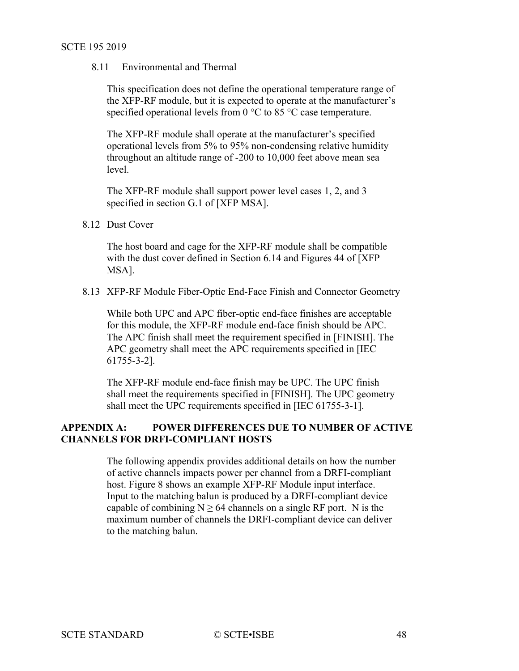#### 8.11 Environmental and Thermal

This specification does not define the operational temperature range of the XFP-RF module, but it is expected to operate at the manufacturer's specified operational levels from  $0^{\circ}$ C to  $85^{\circ}$ C case temperature.

The XFP-RF module shall operate at the manufacturer's specified operational levels from 5% to 95% non-condensing relative humidity throughout an altitude range of -200 to 10,000 feet above mean sea level.

The XFP-RF module shall support power level cases 1, 2, and 3 specified in section G.1 of [\[XFP MSA\].](#page-7-4)

<span id="page-47-0"></span>8.12 Dust Cover

The host board and cage for the XFP-RF module shall be compatible with the dust cover defined in Section 6.14 and Figures 44 of [\[XFP](#page-7-4)  [MSA\].](#page-7-4)

<span id="page-47-1"></span>8.13 XFP-RF Module Fiber-Optic End-Face Finish and Connector Geometry

While both UPC and APC fiber-optic end-face finishes are acceptable for this module, the XFP-RF module end-face finish should be APC. The APC finish shall meet the requirement specified in [\[FINISH\].](#page-7-10) The APC geometry shall meet the APC requirements specified in [\[IEC](#page-7-11)  [61755-3-2\].](#page-7-11)

The XFP-RF module end-face finish may be UPC. The UPC finish shall meet the requirements specified in [\[FINISH\].](#page-7-10) The UPC geometry shall meet the UPC requirements specified in [\[IEC 61755-3-1\].](#page-6-2)

## <span id="page-47-2"></span>**APPENDIX A: POWER DIFFERENCES DUE TO NUMBER OF ACTIVE CHANNELS FOR DRFI-COMPLIANT HOSTS**

The following appendix provides additional details on how the number of active channels impacts power per channel from a DRFI-compliant host. [Figure 8](#page-48-0) shows an example XFP-RF Module input interface. Input to the matching balun is produced by a DRFI-compliant device capable of combining  $N \ge 64$  channels on a single RF port. N is the maximum number of channels the DRFI-compliant device can deliver to the matching balun.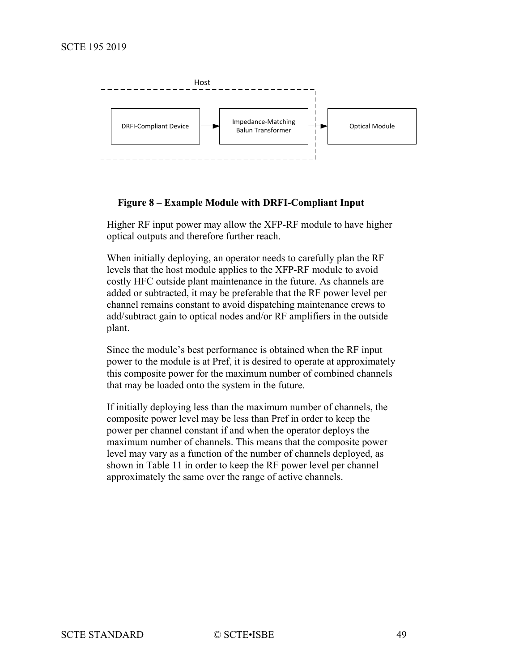<span id="page-48-1"></span>

#### **Figure 8 – Example Module with DRFI-Compliant Input**

<span id="page-48-0"></span>Higher RF input power may allow the XFP-RF module to have higher optical outputs and therefore further reach.

When initially deploying, an operator needs to carefully plan the RF levels that the host module applies to the XFP-RF module to avoid costly HFC outside plant maintenance in the future. As channels are added or subtracted, it may be preferable that the RF power level per channel remains constant to avoid dispatching maintenance crews to add/subtract gain to optical nodes and/or RF amplifiers in the outside plant.

Since the module's best performance is obtained when the RF input power to the module is at Pref, it is desired to operate at approximately this composite power for the maximum number of combined channels that may be loaded onto the system in the future.

If initially deploying less than the maximum number of channels, the composite power level may be less than Pref in order to keep the power per channel constant if and when the operator deploys the maximum number of channels. This means that the composite power level may vary as a function of the number of channels deployed, as shown in [Table 11](#page-48-1) in order to keep the RF power level per channel approximately the same over the range of active channels.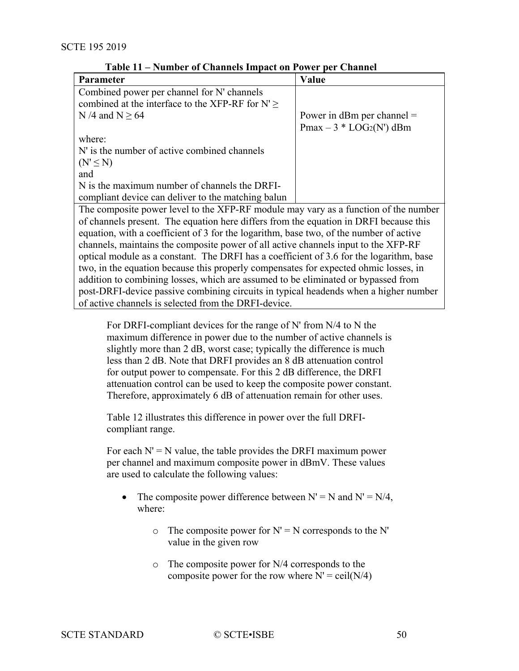| Parameter                                                                               | Value                        |  |  |  |  |  |  |
|-----------------------------------------------------------------------------------------|------------------------------|--|--|--|--|--|--|
| Combined power per channel for N' channels                                              |                              |  |  |  |  |  |  |
| combined at the interface to the XFP-RF for $N' \geq$                                   |                              |  |  |  |  |  |  |
| N /4 and N $\geq$ 64                                                                    | Power in dBm per channel $=$ |  |  |  |  |  |  |
|                                                                                         | $Pmax - 3 * LOG2(N')$ dBm    |  |  |  |  |  |  |
| where:                                                                                  |                              |  |  |  |  |  |  |
| N' is the number of active combined channels                                            |                              |  |  |  |  |  |  |
| $(N' \leq N)$                                                                           |                              |  |  |  |  |  |  |
| and                                                                                     |                              |  |  |  |  |  |  |
| N is the maximum number of channels the DRFI-                                           |                              |  |  |  |  |  |  |
| compliant device can deliver to the matching balun                                      |                              |  |  |  |  |  |  |
| The composite power level to the XFP-RF module may vary as a function of the number     |                              |  |  |  |  |  |  |
| of channels present. The equation here differs from the equation in DRFI because this   |                              |  |  |  |  |  |  |
| equation, with a coefficient of 3 for the logarithm, base two, of the number of active  |                              |  |  |  |  |  |  |
| channels, maintains the composite power of all active channels input to the XFP-RF      |                              |  |  |  |  |  |  |
| optical module as a constant. The DRFI has a coefficient of 3.6 for the logarithm, base |                              |  |  |  |  |  |  |
| two, in the equation because this properly compensates for expected ohmic losses, in    |                              |  |  |  |  |  |  |
| addition to combining losses, which are assumed to be eliminated or bypassed from       |                              |  |  |  |  |  |  |
| post-DRFI-device passive combining circuits in typical headends when a higher number    |                              |  |  |  |  |  |  |
| of active channels is selected from the DRFI-device.                                    |                              |  |  |  |  |  |  |

**Table 11 – Number of Channels Impact on Power per Channel**

For DRFI-compliant devices for the range of N' from N/4 to N the maximum difference in power due to the number of active channels is slightly more than 2 dB, worst case; typically the difference is much less than 2 dB. Note that DRFI provides an 8 dB attenuation control for output power to compensate. For this 2 dB difference, the DRFI attenuation control can be used to keep the composite power constant. Therefore, approximately 6 dB of attenuation remain for other uses.

[Table](#page-50-0) 12 illustrates this difference in power over the full DRFIcompliant range.

For each  $N' = N$  value, the table provides the DRFI maximum power per channel and maximum composite power in dBmV. These values are used to calculate the following values:

- The composite power difference between  $N' = N$  and  $N' = N/4$ , where:
	- $\circ$  The composite power for N' = N corresponds to the N' value in the given row
	- o The composite power for N/4 corresponds to the composite power for the row where  $N' = \text{ceil}(N/4)$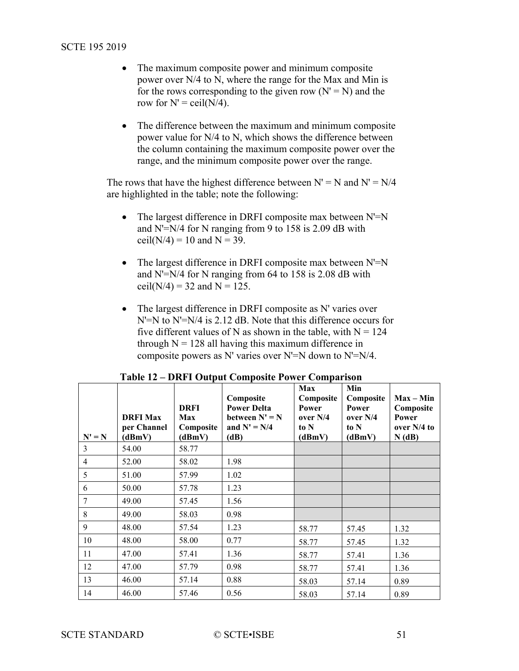- The maximum composite power and minimum composite power over N/4 to N, where the range for the Max and Min is for the rows corresponding to the given row  $(N' = N)$  and the row for  $N' = \text{ceil}(N/4)$ .
- The difference between the maximum and minimum composite power value for N/4 to N, which shows the difference between the column containing the maximum composite power over the range, and the minimum composite power over the range.

The rows that have the highest difference between  $N' = N$  and  $N' = N/4$ are highlighted in the table; note the following:

- The largest difference in DRFI composite max between N'=N and N'=N/4 for N ranging from 9 to 158 is 2.09 dB with ceil( $N/4$ ) = 10 and  $N = 39$ .
- The largest difference in DRFI composite max between  $N'=N$ and N'=N/4 for N ranging from 64 to 158 is 2.08 dB with ceil(N/4) = 32 and N = 125.
- The largest difference in DRFI composite as N' varies over N'=N to N'=N/4 is 2.12 dB. Note that this difference occurs for five different values of N as shown in the table, with  $N = 124$ through  $N = 128$  all having this maximum difference in composite powers as N' varies over N'=N down to N'=N/4.

<span id="page-50-0"></span>

|                | <b>DRFI Max</b><br>per Channel | <b>DRFI</b><br>Max<br>Composite | Composite<br><b>Power Delta</b><br>between $N' = N$<br>and $N' = N/4$ | Max<br>Composite<br><b>Power</b><br>over N/4<br>to N | Min<br>Composite<br><b>Power</b><br>over $N/4$<br>to N | $Max - Min$<br>Composite<br>Power<br>over $N/4$ to |
|----------------|--------------------------------|---------------------------------|-----------------------------------------------------------------------|------------------------------------------------------|--------------------------------------------------------|----------------------------------------------------|
| $N' = N$       | (dBmV)                         | (dBmV)                          | (dB)                                                                  | (dBmV)                                               | (dBmV)                                                 | N(dB)                                              |
| $\mathfrak{Z}$ | 54.00                          | 58.77                           |                                                                       |                                                      |                                                        |                                                    |
| $\overline{4}$ | 52.00                          | 58.02                           | 1.98                                                                  |                                                      |                                                        |                                                    |
| 5              | 51.00                          | 57.99                           | 1.02                                                                  |                                                      |                                                        |                                                    |
| 6              | 50.00                          | 57.78                           | 1.23                                                                  |                                                      |                                                        |                                                    |
| 7              | 49.00                          | 57.45                           | 1.56                                                                  |                                                      |                                                        |                                                    |
| 8              | 49.00                          | 58.03                           | 0.98                                                                  |                                                      |                                                        |                                                    |
| 9              | 48.00                          | 57.54                           | 1.23                                                                  | 58.77                                                | 57.45                                                  | 1.32                                               |
| 10             | 48.00                          | 58.00                           | 0.77                                                                  | 58.77                                                | 57.45                                                  | 1.32                                               |
| 11             | 47.00                          | 57.41                           | 1.36                                                                  | 58.77                                                | 57.41                                                  | 1.36                                               |
| 12             | 47.00                          | 57.79                           | 0.98                                                                  | 58.77                                                | 57.41                                                  | 1.36                                               |
| 13             | 46.00                          | 57.14                           | 0.88                                                                  | 58.03                                                | 57.14                                                  | 0.89                                               |
| 14             | 46.00                          | 57.46                           | 0.56                                                                  | 58.03                                                | 57.14                                                  | 0.89                                               |

|  | Table 12 – DRFI Output Composite Power Comparison |
|--|---------------------------------------------------|
|--|---------------------------------------------------|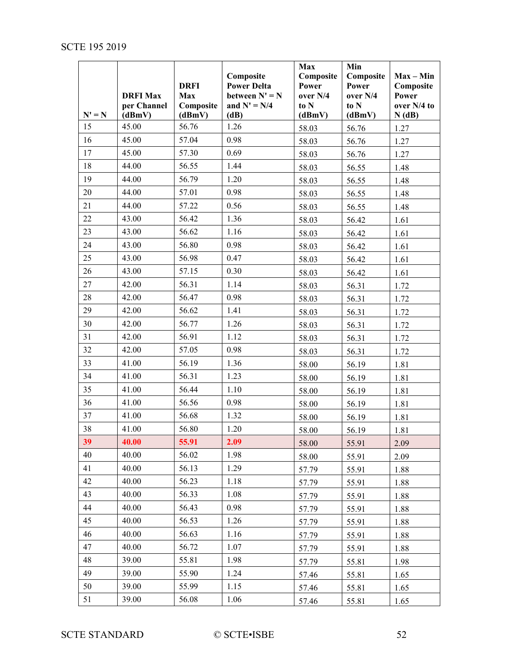|          | <b>DRFI Max</b><br>per Channel | <b>DRFI</b><br>Max<br>Composite | Composite<br><b>Power Delta</b><br>between $N' = N$<br>and $N' = N/4$ | Max<br>Composite<br>Power<br>over N/4<br>to N | Min<br>Composite<br>Power<br>over N/4<br>to N | $Max - Min$<br>Composite<br>Power<br>over N/4 to |
|----------|--------------------------------|---------------------------------|-----------------------------------------------------------------------|-----------------------------------------------|-----------------------------------------------|--------------------------------------------------|
| $N' = N$ | (dBmV)                         | (dBmV)                          | (dB)                                                                  | (dBmV)                                        | (dBmV)                                        | N(dB)                                            |
| 15       | 45.00                          | 56.76                           | 1.26                                                                  | 58.03                                         | 56.76                                         | 1.27                                             |
| 16       | 45.00                          | 57.04                           | 0.98                                                                  | 58.03                                         | 56.76                                         | 1.27                                             |
| 17       | 45.00                          | 57.30                           | 0.69                                                                  | 58.03                                         | 56.76                                         | 1.27                                             |
| 18       | 44.00                          | 56.55                           | 1.44                                                                  | 58.03                                         | 56.55                                         | 1.48                                             |
| 19       | 44.00                          | 56.79                           | 1.20                                                                  | 58.03                                         | 56.55                                         | 1.48                                             |
| 20       | 44.00                          | 57.01                           | 0.98                                                                  | 58.03                                         | 56.55                                         | 1.48                                             |
| 21       | 44.00                          | 57.22                           | 0.56                                                                  | 58.03                                         | 56.55                                         | 1.48                                             |
| 22       | 43.00                          | 56.42                           | 1.36                                                                  | 58.03                                         | 56.42                                         | 1.61                                             |
| 23       | 43.00                          | 56.62                           | 1.16                                                                  | 58.03                                         | 56.42                                         | 1.61                                             |
| 24       | 43.00                          | 56.80                           | 0.98                                                                  | 58.03                                         | 56.42                                         | 1.61                                             |
| 25       | 43.00                          | 56.98                           | 0.47                                                                  | 58.03                                         | 56.42                                         | 1.61                                             |
| 26       | 43.00                          | 57.15                           | 0.30                                                                  | 58.03                                         | 56.42                                         | 1.61                                             |
| 27       | 42.00                          | 56.31                           | 1.14                                                                  | 58.03                                         | 56.31                                         | 1.72                                             |
| 28       | 42.00                          | 56.47                           | 0.98                                                                  | 58.03                                         | 56.31                                         | 1.72                                             |
| 29       | 42.00                          | 56.62                           | 1.41                                                                  | 58.03                                         | 56.31                                         | 1.72                                             |
| 30       | 42.00                          | 56.77                           | 1.26                                                                  | 58.03                                         | 56.31                                         | 1.72                                             |
| 31       | 42.00                          | 56.91                           | 1.12                                                                  | 58.03                                         | 56.31                                         | 1.72                                             |
| 32       | 42.00                          | 57.05                           | 0.98                                                                  | 58.03                                         | 56.31                                         | 1.72                                             |
| 33       | 41.00                          | 56.19                           | 1.36                                                                  | 58.00                                         | 56.19                                         | 1.81                                             |
| 34       | 41.00                          | 56.31                           | 1.23                                                                  | 58.00                                         | 56.19                                         | 1.81                                             |
| 35       | 41.00                          | 56.44                           | 1.10                                                                  | 58.00                                         | 56.19                                         | 1.81                                             |
| 36       | 41.00                          | 56.56                           | 0.98                                                                  | 58.00                                         | 56.19                                         | 1.81                                             |
| 37       | 41.00                          | 56.68                           | 1.32                                                                  | 58.00                                         | 56.19                                         | 1.81                                             |
| 38       | 41.00                          | 56.80                           | 1.20                                                                  | 58.00                                         | 56.19                                         | 1.81                                             |
| 39       | 40.00                          | 55.91                           | 2.09                                                                  | 58.00                                         | 55.91                                         | 2.09                                             |
| 40       | 40.00                          | 56.02                           | 1.98                                                                  | 58.00                                         | 55.91                                         | 2.09                                             |
| 41       | 40.00                          | 56.13                           | 1.29                                                                  | 57.79                                         | 55.91                                         | 1.88                                             |
| 42       | 40.00                          | 56.23                           | 1.18                                                                  | 57.79                                         | 55.91                                         | 1.88                                             |
| 43       | 40.00                          | 56.33                           | 1.08                                                                  | 57.79                                         | 55.91                                         | 1.88                                             |
| 44       | 40.00                          | 56.43                           | 0.98                                                                  | 57.79                                         | 55.91                                         | 1.88                                             |
| 45       | 40.00                          | 56.53                           | 1.26                                                                  | 57.79                                         | 55.91                                         | 1.88                                             |
| 46       | 40.00                          | 56.63                           | 1.16                                                                  | 57.79                                         | 55.91                                         | 1.88                                             |
| 47       | 40.00                          | 56.72                           | 1.07                                                                  | 57.79                                         | 55.91                                         | 1.88                                             |
| 48       | 39.00                          | 55.81                           | 1.98                                                                  | 57.79                                         | 55.81                                         | 1.98                                             |
| 49       | 39.00                          | 55.90                           | 1.24                                                                  | 57.46                                         | 55.81                                         | 1.65                                             |
| 50       | 39.00                          | 55.99                           | 1.15                                                                  | 57.46                                         | 55.81                                         | 1.65                                             |
| 51       | 39.00                          | 56.08                           | 1.06                                                                  | 57.46                                         | 55.81                                         | 1.65                                             |

SCTE STANDARD © SCTE•ISBE 52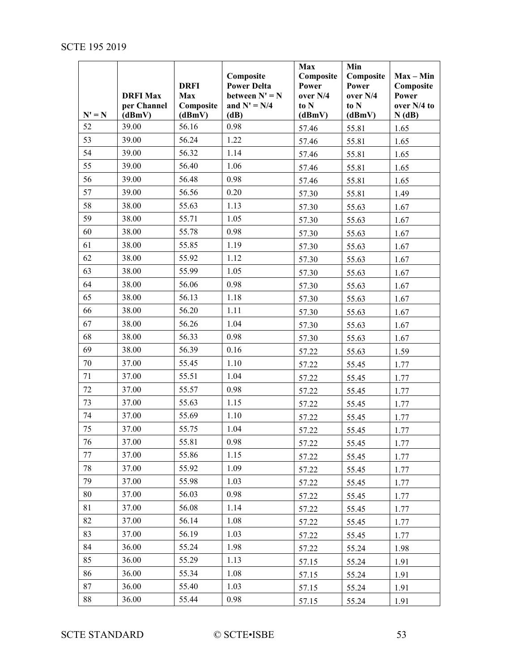|          |                 |                    | Composite                              | Max<br>Composite  | Min<br>Composite  | $Max - Min$        |
|----------|-----------------|--------------------|----------------------------------------|-------------------|-------------------|--------------------|
|          | <b>DRFI Max</b> | <b>DRFI</b><br>Max | <b>Power Delta</b><br>between $N' = N$ | Power<br>over N/4 | Power<br>over N/4 | Composite<br>Power |
|          | per Channel     | Composite          | and $N' = N/4$                         | to N              | to N              | over N/4 to        |
| $N' = N$ | (dBmV)          | (dBmV)             | (dB)                                   | (dBmV)            | (dBmV)            | N(dB)              |
| 52       | 39.00           | 56.16              | 0.98                                   | 57.46             | 55.81             | 1.65               |
| 53       | 39.00           | 56.24              | 1.22                                   | 57.46             | 55.81             | 1.65               |
| 54       | 39.00           | 56.32              | 1.14                                   | 57.46             | 55.81             | 1.65               |
| 55       | 39.00           | 56.40              | 1.06                                   | 57.46             | 55.81             | 1.65               |
| 56       | 39.00           | 56.48              | 0.98                                   | 57.46             | 55.81             | 1.65               |
| 57       | 39.00           | 56.56              | 0.20                                   | 57.30             | 55.81             | 1.49               |
| 58       | 38.00           | 55.63              | 1.13                                   | 57.30             | 55.63             | 1.67               |
| 59       | 38.00           | 55.71              | 1.05                                   | 57.30             | 55.63             | 1.67               |
| 60       | 38.00           | 55.78              | 0.98                                   | 57.30             | 55.63             | 1.67               |
| 61       | 38.00           | 55.85              | 1.19                                   | 57.30             | 55.63             | 1.67               |
| 62       | 38.00           | 55.92              | 1.12                                   | 57.30             | 55.63             | 1.67               |
| 63       | 38.00           | 55.99              | 1.05                                   | 57.30             | 55.63             | 1.67               |
| 64       | 38.00           | 56.06              | 0.98                                   | 57.30             | 55.63             | 1.67               |
| 65       | 38.00           | 56.13              | 1.18                                   | 57.30             | 55.63             | 1.67               |
| 66       | 38.00           | 56.20              | 1.11                                   | 57.30             | 55.63             | 1.67               |
| 67       | 38.00           | 56.26              | 1.04                                   | 57.30             | 55.63             | 1.67               |
| 68       | 38.00           | 56.33              | 0.98                                   | 57.30             | 55.63             | 1.67               |
| 69       | 38.00           | 56.39              | 0.16                                   | 57.22             | 55.63             | 1.59               |
| 70       | 37.00           | 55.45              | 1.10                                   | 57.22             | 55.45             | 1.77               |
| 71       | 37.00           | 55.51              | 1.04                                   | 57.22             | 55.45             | 1.77               |
| 72       | 37.00           | 55.57              | 0.98                                   | 57.22             | 55.45             | 1.77               |
| 73       | 37.00           | 55.63              | 1.15                                   | 57.22             | 55.45             | 1.77               |
| 74       | 37.00           | 55.69              | 1.10                                   | 57.22             | 55.45             | 1.77               |
| 75       | 37.00           | 55.75              | 1.04                                   | 57.22             | 55.45             | 1.77               |
| 76       | 37.00           | 55.81              | 0.98                                   | 57.22             | 55.45             | 1.77               |
| 77       | 37.00           | 55.86              | 1.15                                   | 57.22             | 55.45             | 1.77               |
| 78       | 37.00           | 55.92              | 1.09                                   | 57.22             | 55.45             | 1.77               |
| 79       | 37.00           | 55.98              | 1.03                                   | 57.22             | 55.45             | 1.77               |
| 80       | 37.00           | 56.03              | 0.98                                   | 57.22             | 55.45             | 1.77               |
| 81       | 37.00           | 56.08              | 1.14                                   | 57.22             | 55.45             | 1.77               |
| 82       | 37.00           | 56.14              | 1.08                                   | 57.22             | 55.45             | 1.77               |
| 83       | 37.00           | 56.19              | 1.03                                   | 57.22             | 55.45             | 1.77               |
| 84       | 36.00           | 55.24              | 1.98                                   | 57.22             | 55.24             | 1.98               |
| 85       | 36.00           | 55.29              | 1.13                                   | 57.15             | 55.24             | 1.91               |
| 86       | 36.00           | 55.34              | 1.08                                   | 57.15             | 55.24             | 1.91               |
| 87       | 36.00           | 55.40              | 1.03                                   | 57.15             | 55.24             | 1.91               |
| 88       | 36.00           | 55.44              | 0.98                                   | 57.15             | 55.24             | 1.91               |

SCTE STANDARD © SCTE•ISBE 53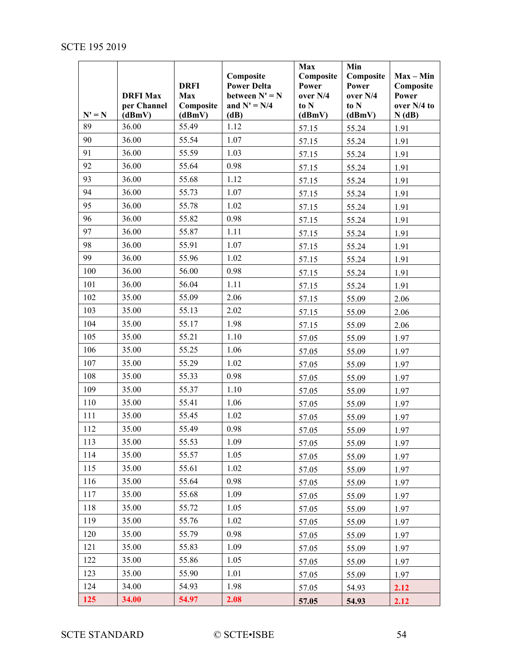|                | <b>DRFI Max</b><br>per Channel | <b>DRFI</b><br><b>Max</b><br>Composite | Composite<br><b>Power Delta</b><br>between $N' = N$<br>and $N' = N/4$ | Max<br>Composite<br>Power<br>over N/4<br>to N | Min<br>Composite<br>Power<br>over N/4<br>to N | $Max - Min$<br>Composite<br>Power<br>over N/4 to |
|----------------|--------------------------------|----------------------------------------|-----------------------------------------------------------------------|-----------------------------------------------|-----------------------------------------------|--------------------------------------------------|
| $N' = N$<br>89 | (dBmV)<br>36.00                | (dBmV)<br>55.49                        | (dB)<br>1.12                                                          | (dBmV)<br>57.15                               | (dBmV)<br>55.24                               | N(dB)<br>1.91                                    |
| 90             | 36.00                          | 55.54                                  | 1.07                                                                  | 57.15                                         | 55.24                                         | 1.91                                             |
| 91             | 36.00                          | 55.59                                  | 1.03                                                                  | 57.15                                         | 55.24                                         | 1.91                                             |
| 92             | 36.00                          | 55.64                                  | 0.98                                                                  | 57.15                                         | 55.24                                         | 1.91                                             |
| 93             | 36.00                          | 55.68                                  | 1.12                                                                  | 57.15                                         | 55.24                                         | 1.91                                             |
| 94             | 36.00                          | 55.73                                  | 1.07                                                                  | 57.15                                         | 55.24                                         | 1.91                                             |
| 95             | 36.00                          | 55.78                                  | 1.02                                                                  | 57.15                                         | 55.24                                         | 1.91                                             |
| 96             | 36.00                          | 55.82                                  | 0.98                                                                  | 57.15                                         | 55.24                                         | 1.91                                             |
| 97             | 36.00                          | 55.87                                  | 1.11                                                                  | 57.15                                         | 55.24                                         | 1.91                                             |
| 98             | 36.00                          | 55.91                                  | 1.07                                                                  | 57.15                                         | 55.24                                         | 1.91                                             |
| 99             | 36.00                          | 55.96                                  | 1.02                                                                  | 57.15                                         | 55.24                                         | 1.91                                             |
| 100            | 36.00                          | 56.00                                  | 0.98                                                                  | 57.15                                         | 55.24                                         | 1.91                                             |
| 101            | 36.00                          | 56.04                                  | 1.11                                                                  | 57.15                                         | 55.24                                         | 1.91                                             |
| 102            | 35.00                          | 55.09                                  | 2.06                                                                  | 57.15                                         | 55.09                                         | 2.06                                             |
| 103            | 35.00                          | 55.13                                  | 2.02                                                                  | 57.15                                         | 55.09                                         | 2.06                                             |
| 104            | 35.00                          | 55.17                                  | 1.98                                                                  | 57.15                                         | 55.09                                         | 2.06                                             |
| 105            | 35.00                          | 55.21                                  | 1.10                                                                  | 57.05                                         | 55.09                                         | 1.97                                             |
| 106            | 35.00                          | 55.25                                  | 1.06                                                                  | 57.05                                         | 55.09                                         | 1.97                                             |
| 107            | 35.00                          | 55.29                                  | 1.02                                                                  | 57.05                                         | 55.09                                         | 1.97                                             |
| 108            | 35.00                          | 55.33                                  | 0.98                                                                  | 57.05                                         | 55.09                                         | 1.97                                             |
| 109            | 35.00                          | 55.37                                  | 1.10                                                                  | 57.05                                         | 55.09                                         | 1.97                                             |
| 110            | 35.00                          | 55.41                                  | 1.06                                                                  | 57.05                                         | 55.09                                         | 1.97                                             |
| 111            | 35.00                          | 55.45                                  | 1.02                                                                  | 57.05                                         | 55.09                                         | 1.97                                             |
| 112            | 35.00                          | 55.49                                  | 0.98                                                                  | 57.05                                         | 55.09                                         | 1.97                                             |
| 113            | 35.00                          | 55.53                                  | 1.09                                                                  | 57.05                                         | 55.09                                         | 1.97                                             |
| 114            | 35.00                          | 55.57                                  | 1.05                                                                  | 57.05                                         | 55.09                                         | 1.97                                             |
| 115            | 35.00                          | 55.61                                  | 1.02                                                                  | 57.05                                         | 55.09                                         | 1.97                                             |
| 116            | 35.00                          | 55.64                                  | 0.98                                                                  | 57.05                                         | 55.09                                         | 1.97                                             |
| 117            | 35.00                          | 55.68                                  | 1.09                                                                  | 57.05                                         | 55.09                                         | 1.97                                             |
| 118            | 35.00                          | 55.72                                  | 1.05                                                                  | 57.05                                         | 55.09                                         | 1.97                                             |
| 119            | 35.00                          | 55.76                                  | 1.02                                                                  | 57.05                                         | 55.09                                         | 1.97                                             |
| 120            | 35.00                          | 55.79                                  | 0.98                                                                  | 57.05                                         | 55.09                                         | 1.97                                             |
| 121            | 35.00                          | 55.83                                  | 1.09                                                                  | 57.05                                         | 55.09                                         | 1.97                                             |
| 122            | 35.00                          | 55.86                                  | 1.05                                                                  | 57.05                                         | 55.09                                         | 1.97                                             |
| 123            | 35.00                          | 55.90                                  | 1.01                                                                  | 57.05                                         | 55.09                                         | 1.97                                             |
| 124            | 34.00                          | 54.93                                  | 1.98                                                                  | 57.05                                         | 54.93                                         | 2.12                                             |
| 125            | 34.00                          | 54.97                                  | 2.08                                                                  | 57.05                                         | 54.93                                         | 2.12                                             |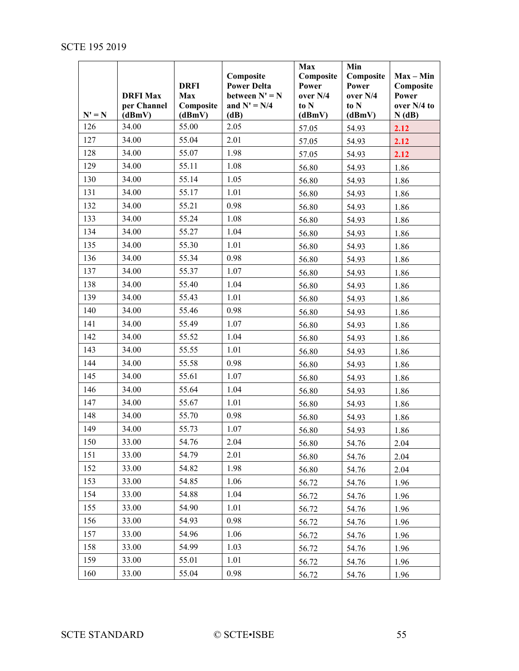<span id="page-54-0"></span>

| $N' = N$ | <b>DRFI Max</b><br>per Channel<br>(dBmV) | <b>DRFI</b><br>Max<br>Composite<br>(dBmV) | Composite<br><b>Power Delta</b><br>between $N' = N$<br>and $N' = N/4$<br>(dB) | Max<br>Composite<br>Power<br>over N/4<br>to N<br>(dBmV) | Min<br>Composite<br>Power<br>over N/4<br>to N<br>(dBmV) | $Max - Min$<br>Composite<br>Power<br>over N/4 to<br>N(dB) |
|----------|------------------------------------------|-------------------------------------------|-------------------------------------------------------------------------------|---------------------------------------------------------|---------------------------------------------------------|-----------------------------------------------------------|
| 126      | 34.00                                    | 55.00                                     | 2.05                                                                          | 57.05                                                   | 54.93                                                   | 2.12                                                      |
| 127      | 34.00                                    | 55.04                                     | 2.01                                                                          | 57.05                                                   | 54.93                                                   | 2.12                                                      |
| 128      | 34.00                                    | 55.07                                     | 1.98                                                                          | 57.05                                                   | 54.93                                                   | 2.12                                                      |
| 129      | 34.00                                    | 55.11                                     | 1.08                                                                          | 56.80                                                   | 54.93                                                   | 1.86                                                      |
| 130      | 34.00                                    | 55.14                                     | 1.05                                                                          | 56.80                                                   | 54.93                                                   | 1.86                                                      |
| 131      | 34.00                                    | 55.17                                     | 1.01                                                                          | 56.80                                                   | 54.93                                                   | 1.86                                                      |
| 132      | 34.00                                    | 55.21                                     | 0.98                                                                          | 56.80                                                   | 54.93                                                   | 1.86                                                      |
| 133      | 34.00                                    | 55.24                                     | 1.08                                                                          | 56.80                                                   | 54.93                                                   | 1.86                                                      |
| 134      | 34.00                                    | 55.27                                     | 1.04                                                                          | 56.80                                                   | 54.93                                                   | 1.86                                                      |
| 135      | 34.00                                    | 55.30                                     | 1.01                                                                          | 56.80                                                   | 54.93                                                   | 1.86                                                      |
| 136      | 34.00                                    | 55.34                                     | 0.98                                                                          | 56.80                                                   | 54.93                                                   | 1.86                                                      |
| 137      | 34.00                                    | 55.37                                     | 1.07                                                                          | 56.80                                                   | 54.93                                                   | 1.86                                                      |
| 138      | 34.00                                    | 55.40                                     | 1.04                                                                          | 56.80                                                   | 54.93                                                   | 1.86                                                      |
| 139      | 34.00                                    | 55.43                                     | 1.01                                                                          | 56.80                                                   | 54.93                                                   | 1.86                                                      |
| 140      | 34.00                                    | 55.46                                     | 0.98                                                                          | 56.80                                                   | 54.93                                                   | 1.86                                                      |
| 141      | 34.00                                    | 55.49                                     | 1.07                                                                          | 56.80                                                   | 54.93                                                   | 1.86                                                      |
| 142      | 34.00                                    | 55.52                                     | 1.04                                                                          | 56.80                                                   | 54.93                                                   | 1.86                                                      |
| 143      | 34.00                                    | 55.55                                     | 1.01                                                                          | 56.80                                                   | 54.93                                                   | 1.86                                                      |
| 144      | 34.00                                    | 55.58                                     | 0.98                                                                          | 56.80                                                   | 54.93                                                   | 1.86                                                      |
| 145      | 34.00                                    | 55.61                                     | 1.07                                                                          | 56.80                                                   | 54.93                                                   | 1.86                                                      |
| 146      | 34.00                                    | 55.64                                     | 1.04                                                                          | 56.80                                                   | 54.93                                                   | 1.86                                                      |
| 147      | 34.00                                    | 55.67                                     | 1.01                                                                          | 56.80                                                   | 54.93                                                   | 1.86                                                      |
| 148      | 34.00                                    | 55.70                                     | 0.98                                                                          | 56.80                                                   | 54.93                                                   | 1.86                                                      |
| 149      | 34.00                                    | 55.73                                     | 1.07                                                                          | 56.80                                                   | 54.93                                                   | 1.86                                                      |
| 150      | 33.00                                    | 54.76                                     | 2.04                                                                          | 56.80                                                   | 54.76                                                   | 2.04                                                      |
| 151      | 33.00                                    | 54.79                                     | 2.01                                                                          | 56.80                                                   | 54.76                                                   | 2.04                                                      |
| 152      | 33.00                                    | 54.82                                     | 1.98                                                                          | 56.80                                                   | 54.76                                                   | 2.04                                                      |
| 153      | 33.00                                    | 54.85                                     | 1.06                                                                          | 56.72                                                   | 54.76                                                   | 1.96                                                      |
| 154      | 33.00                                    | 54.88                                     | 1.04                                                                          | 56.72                                                   | 54.76                                                   | 1.96                                                      |
| 155      | 33.00                                    | 54.90                                     | 1.01                                                                          | 56.72                                                   | 54.76                                                   | 1.96                                                      |
| 156      | 33.00                                    | 54.93                                     | 0.98                                                                          | 56.72                                                   | 54.76                                                   | 1.96                                                      |
| 157      | 33.00                                    | 54.96                                     | 1.06                                                                          | 56.72                                                   | 54.76                                                   | 1.96                                                      |
| 158      | 33.00                                    | 54.99                                     | 1.03                                                                          | 56.72                                                   | 54.76                                                   | 1.96                                                      |
| 159      | 33.00                                    | 55.01                                     | 1.01                                                                          | 56.72                                                   | 54.76                                                   | 1.96                                                      |
| 160      | 33.00                                    | 55.04                                     | 0.98                                                                          | 56.72                                                   | 54.76                                                   | 1.96                                                      |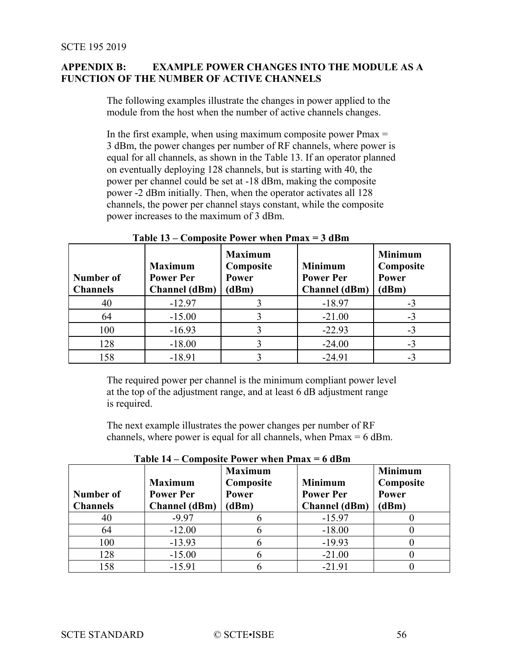## **APPENDIX B: EXAMPLE POWER CHANGES INTO THE MODULE AS A FUNCTION OF THE NUMBER OF ACTIVE CHANNELS**

The following examples illustrate the changes in power applied to the module from the host when the number of active channels changes.

In the first example, when using maximum composite power  $Pmax =$ 3 dBm, the power changes per number of RF channels, where power is equal for all channels, as shown in the [Table 13.](#page-55-0) If an operator planned on eventually deploying 128 channels, but is starting with 40, the power per channel could be set at -18 dBm, making the composite power -2 dBm initially. Then, when the operator activates all 128 channels, the power per channel stays constant, while the composite power increases to the maximum of 3 dBm.

<span id="page-55-0"></span>

| Number of<br><b>Channels</b> | <b>Maximum</b><br><b>Power Per</b><br><b>Channel</b> (dBm) | <b>Maximum</b><br>Composite<br>Power<br>(dBm) | <b>Minimum</b><br><b>Power Per</b><br><b>Channel</b> (dBm) | <b>Minimum</b><br>Composite<br>Power<br>(dBm) |
|------------------------------|------------------------------------------------------------|-----------------------------------------------|------------------------------------------------------------|-----------------------------------------------|
| 40                           | $-12.97$                                                   |                                               | $-18.97$                                                   | $-3$                                          |
| 64                           | $-15.00$                                                   |                                               | $-21.00$                                                   | $-3$                                          |
| 100                          | $-16.93$                                                   |                                               | $-22.93$                                                   | $-3$                                          |
| 128                          | $-18.00$                                                   |                                               | $-24.00$                                                   | $-3$                                          |
| 158                          | $-18.91$                                                   |                                               | $-24.91$                                                   | $-3$                                          |

**Table 13 – Composite Power when Pmax = 3 dBm**

The required power per channel is the minimum compliant power level at the top of the adjustment range, and at least 6 dB adjustment range is required.

The next example illustrates the power changes per number of RF channels, where power is equal for all channels, when  $Pmax = 6$  dBm.

| Number of<br><b>Channels</b> | <b>Maximum</b><br><b>Power Per</b><br><b>Channel</b> (dBm) | <b>Maximum</b><br>Composite<br>Power<br>(dBm) | <b>Minimum</b><br><b>Power Per</b><br><b>Channel</b> (dBm) | <b>Minimum</b><br>Composite<br>Power<br>(dBm) |
|------------------------------|------------------------------------------------------------|-----------------------------------------------|------------------------------------------------------------|-----------------------------------------------|
| 40                           | $-9.97$                                                    |                                               | $-15.97$                                                   |                                               |
| 64                           | $-12.00$                                                   |                                               | $-18.00$                                                   |                                               |
| 100                          | $-13.93$                                                   |                                               | $-19.93$                                                   |                                               |
| 128                          | $-15.00$                                                   |                                               | $-21.00$                                                   |                                               |
| 158                          | $-15.91$                                                   |                                               | $-21.91$                                                   |                                               |

<span id="page-55-1"></span>**Table 14 – Composite Power when Pmax = 6 dBm**